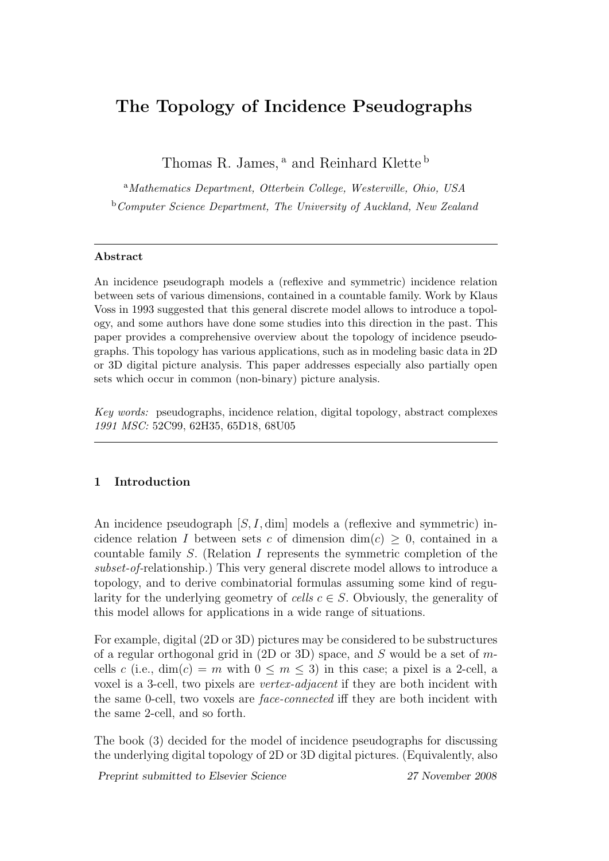# The Topology of Incidence Pseudographs

Thomas R. James,<sup>a</sup> and Reinhard Klette<sup>b</sup>

<sup>a</sup>Mathematics Department, Otterbein College, Westerville, Ohio, USA b Computer Science Department, The University of Auckland, New Zealand

## Abstract

An incidence pseudograph models a (reflexive and symmetric) incidence relation between sets of various dimensions, contained in a countable family. Work by Klaus Voss in 1993 suggested that this general discrete model allows to introduce a topology, and some authors have done some studies into this direction in the past. This paper provides a comprehensive overview about the topology of incidence pseudographs. This topology has various applications, such as in modeling basic data in 2D or 3D digital picture analysis. This paper addresses especially also partially open sets which occur in common (non-binary) picture analysis.

Key words: pseudographs, incidence relation, digital topology, abstract complexes 1991 MSC: 52C99, 62H35, 65D18, 68U05

# 1 Introduction

An incidence pseudograph  $[S, I, dim]$  models a (reflexive and symmetric) incidence relation I between sets c of dimension dim(c)  $\geq$  0, contained in a countable family S. (Relation I represents the symmetric completion of the subset-of-relationship.) This very general discrete model allows to introduce a topology, and to derive combinatorial formulas assuming some kind of regularity for the underlying geometry of cells  $c \in S$ . Obviously, the generality of this model allows for applications in a wide range of situations.

For example, digital (2D or 3D) pictures may be considered to be substructures of a regular orthogonal grid in  $(2D \text{ or } 3D)$  space, and S would be a set of mcells c (i.e., dim(c) = m with  $0 \le m \le 3$ ) in this case; a pixel is a 2-cell, a voxel is a 3-cell, two pixels are vertex-adjacent if they are both incident with the same 0-cell, two voxels are face-connected iff they are both incident with the same 2-cell, and so forth.

The book (3) decided for the model of incidence pseudographs for discussing the underlying digital topology of 2D or 3D digital pictures. (Equivalently, also

Preprint submitted to Elsevier Science 27 November 2008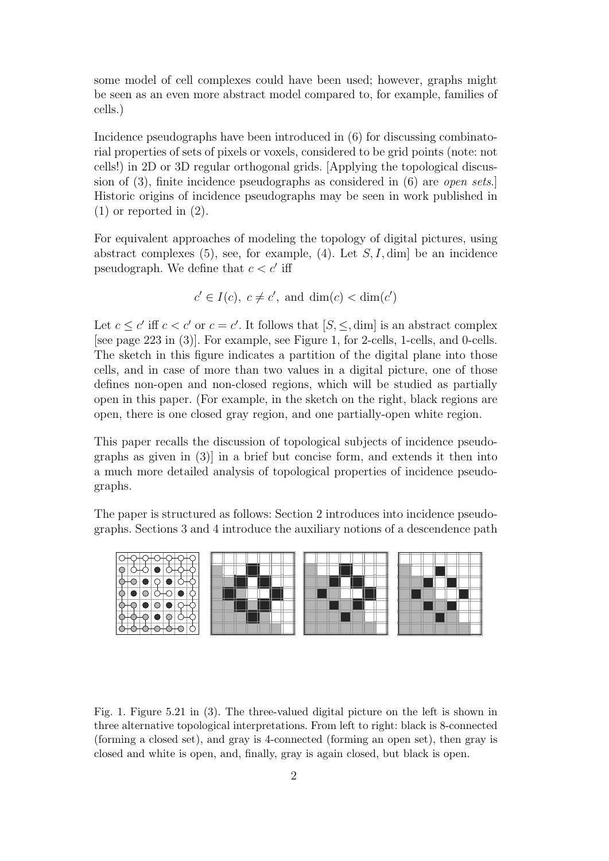some model of cell complexes could have been used; however, graphs might be seen as an even more abstract model compared to, for example, families of cells.)

Incidence pseudographs have been introduced in (6) for discussing combinatorial properties of sets of pixels or voxels, considered to be grid points (note: not cells!) in 2D or 3D regular orthogonal grids. [Applying the topological discussion of (3), finite incidence pseudographs as considered in (6) are open sets.] Historic origins of incidence pseudographs may be seen in work published in (1) or reported in (2).

For equivalent approaches of modeling the topology of digital pictures, using abstract complexes  $(5)$ , see, for example,  $(4)$ . Let  $S, I, dim$  be an incidence pseudograph. We define that  $c < c'$  iff

 $c' \in I(c)$ ,  $c \neq c'$ , and  $\dim(c) < \dim(c')$ 

Let  $c \leq c'$  iff  $c < c'$  or  $c = c'$ . It follows that  $[S, \leq, \dim]$  is an abstract complex [see page 223 in (3)]. For example, see Figure 1, for 2-cells, 1-cells, and 0-cells. The sketch in this figure indicates a partition of the digital plane into those cells, and in case of more than two values in a digital picture, one of those defines non-open and non-closed regions, which will be studied as partially open in this paper. (For example, in the sketch on the right, black regions are open, there is one closed gray region, and one partially-open white region.

This paper recalls the discussion of topological subjects of incidence pseudographs as given in (3)] in a brief but concise form, and extends it then into a much more detailed analysis of topological properties of incidence pseudographs.

The paper is structured as follows: Section 2 introduces into incidence pseudographs. Sections 3 and 4 introduce the auxiliary notions of a descendence path



Fig. 1. Figure 5.21 in (3). The three-valued digital picture on the left is shown in three alternative topological interpretations. From left to right: black is 8-connected (forming a closed set), and gray is 4-connected (forming an open set), then gray is closed and white is open, and, finally, gray is again closed, but black is open.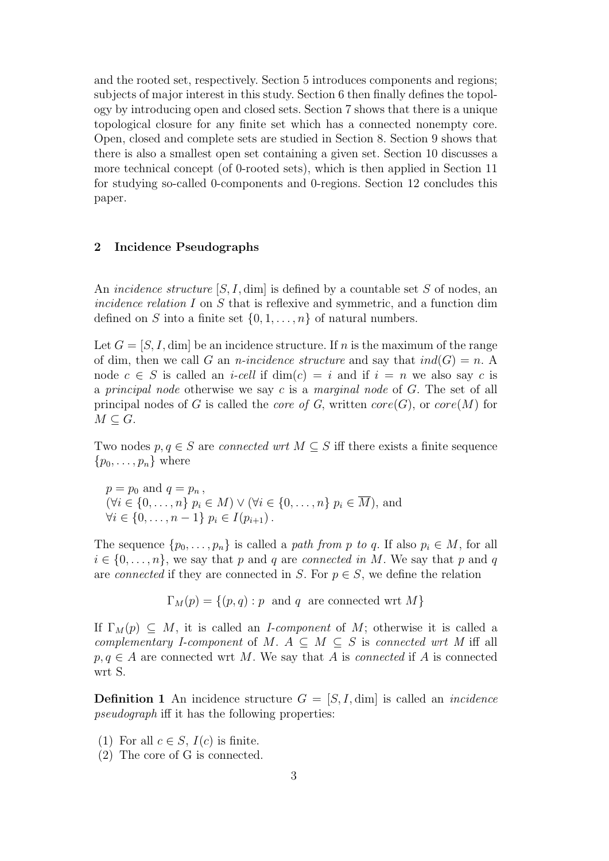and the rooted set, respectively. Section 5 introduces components and regions; subjects of major interest in this study. Section 6 then finally defines the topology by introducing open and closed sets. Section 7 shows that there is a unique topological closure for any finite set which has a connected nonempty core. Open, closed and complete sets are studied in Section 8. Section 9 shows that there is also a smallest open set containing a given set. Section 10 discusses a more technical concept (of 0-rooted sets), which is then applied in Section 11 for studying so-called 0-components and 0-regions. Section 12 concludes this paper.

# 2 Incidence Pseudographs

An *incidence structure*  $[S, I, \dim]$  is defined by a countable set S of nodes, an incidence relation I on S that is reflexive and symmetric, and a function dim defined on S into a finite set  $\{0, 1, \ldots, n\}$  of natural numbers.

Let  $G = [S, I, \dim]$  be an incidence structure. If n is the maximum of the range of dim, then we call G an *n*-incidence structure and say that  $ind(G) = n$ . A node  $c \in S$  is called an *i-cell* if  $\dim(c) = i$  and if  $i = n$  we also say c is a principal node otherwise we say c is a marginal node of  $G$ . The set of all principal nodes of G is called the *core of G*, written  $core(G)$ , or  $core(M)$  for  $M \subset G$ .

Two nodes  $p, q \in S$  are *connected wrt*  $M \subseteq S$  iff there exists a finite sequence  $\{p_0, \ldots, p_n\}$  where

 $p = p_0$  and  $q = p_n$ ,  $(\forall i \in \{0, \ldots, n\} \mid p_i \in M) \vee (\forall i \in \{0, \ldots, n\} \mid p_i \in \overline{M})$ , and  $\forall i \in \{0, \ldots, n-1\} \; p_i \in I(p_{i+1})$ .

The sequence  $\{p_0, \ldots, p_n\}$  is called a path from p to q. If also  $p_i \in M$ , for all  $i \in \{0, \ldots, n\}$ , we say that p and q are connected in M. We say that p and q are connected if they are connected in S. For  $p \in S$ , we define the relation

 $\Gamma_M(p) = \{(p, q) : p \text{ and } q \text{ are connected wrt } M\}$ 

If  $\Gamma_M(p) \subseteq M$ , it is called an *I-component* of M; otherwise it is called a complementary I-component of M.  $A \subseteq M \subseteq S$  is connected wrt M iff all  $p, q \in A$  are connected wrt M. We say that A is *connected* if A is connected wrt S.

**Definition 1** An incidence structure  $G = [S, I, dim]$  is called an *incidence* pseudograph iff it has the following properties:

- (1) For all  $c \in S$ ,  $I(c)$  is finite.
- (2) The core of G is connected.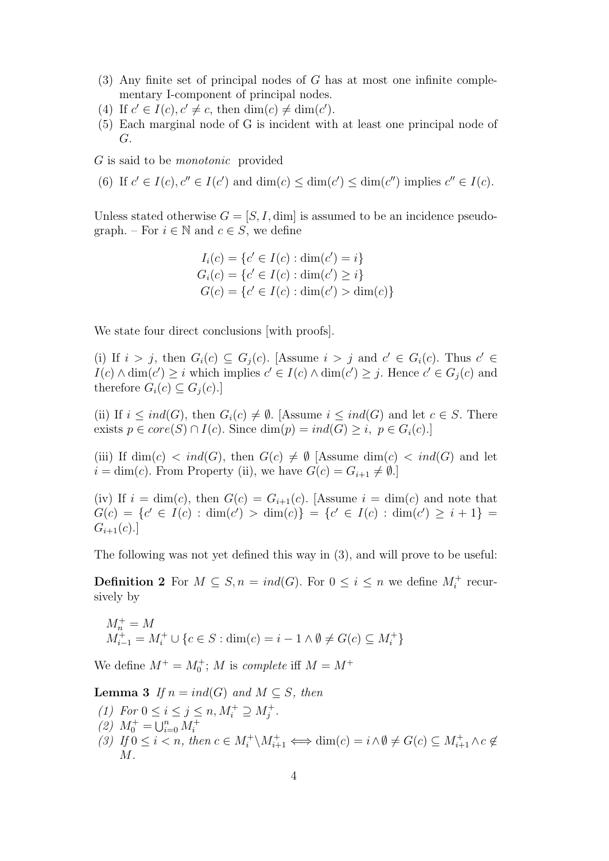- (3) Any finite set of principal nodes of G has at most one infinite complementary I-component of principal nodes.
- (4) If  $c' \in I(c), c' \neq c$ , then  $\dim(c) \neq \dim(c')$ .
- (5) Each marginal node of G is incident with at least one principal node of G.

G is said to be monotonic provided

(6) If  $c' \in I(c)$ ,  $c'' \in I(c')$  and  $\dim(c) \leq \dim(c') \leq \dim(c'')$  implies  $c'' \in I(c)$ .

Unless stated otherwise  $G = [S, I, \dim]$  is assumed to be an incidence pseudograph. – For  $i \in \mathbb{N}$  and  $c \in S$ , we define

$$
I_i(c) = \{c' \in I(c) : \dim(c') = i\}
$$
  
\n
$$
G_i(c) = \{c' \in I(c) : \dim(c') \ge i\}
$$
  
\n
$$
G(c) = \{c' \in I(c) : \dim(c') > \dim(c)\}
$$

We state four direct conclusions [with proofs].

(i) If  $i > j$ , then  $G_i(c) \subseteq G_j(c)$ . [Assume  $i > j$  and  $c' \in G_i(c)$ . Thus  $c' \in G_i(c)$  $I(c) \wedge \dim(c') \geq i$  which implies  $c' \in I(c) \wedge \dim(c') \geq j$ . Hence  $c' \in G_j(c)$  and therefore  $G_i(c) \subseteq G_i(c)$ .

(ii) If  $i \leq ind(G)$ , then  $G_i(c) \neq \emptyset$ . [Assume  $i \leq ind(G)$  and let  $c \in S$ . There exists  $p \in core(S) \cap I(c)$ . Since  $dim(p) = ind(G) \geq i, p \in G_i(c)$ .

(iii) If  $\dim(c) < ind(G)$ , then  $G(c) \neq \emptyset$  [Assume  $\dim(c) < ind(G)$  and let  $i = \dim(c)$ . From Property (ii), we have  $G(c) = G_{i+1} \neq \emptyset$ .

(iv) If  $i = \dim(c)$ , then  $G(c) = G_{i+1}(c)$ . [Assume  $i = \dim(c)$  and note that  $G(c) = \{c' \in I(c) : \dim(c') > \dim(c)\} = \{c' \in I(c) : \dim(c') \geq i+1\}$  $G_{i+1}(c).$ 

The following was not yet defined this way in (3), and will prove to be useful:

**Definition 2** For  $M \subseteq S$ ,  $n = ind(G)$ . For  $0 \leq i \leq n$  we define  $M_i^+$  recursively by

$$
\begin{array}{l} M_n^+ = M\\ M_{i-1}^+ = M_i^+ \cup \{c \in S : \dim(c) = i-1 \wedge \emptyset \neq G(c) \subseteq M_i^+\} \end{array}
$$

We define  $M^+ = M_0^+$ ; M is *complete* iff  $M = M^+$ 

**Lemma 3** If  $n = ind(G)$  and  $M \subseteq S$ , then

- (1) For  $0 \le i \le j \le n, M_i^+ \supseteq M_j^+$ .
- (2)  $M_0^+ = \bigcup_{i=0}^n M_i^+$
- (3) If  $0 \le i < n$ , then  $c \in M_i^+ \backslash M_{i+1}^+ \Longleftrightarrow \dim(c) = i \wedge \emptyset \ne G(c) \subseteq M_{i+1}^+ \wedge c \not\in$  $M$ .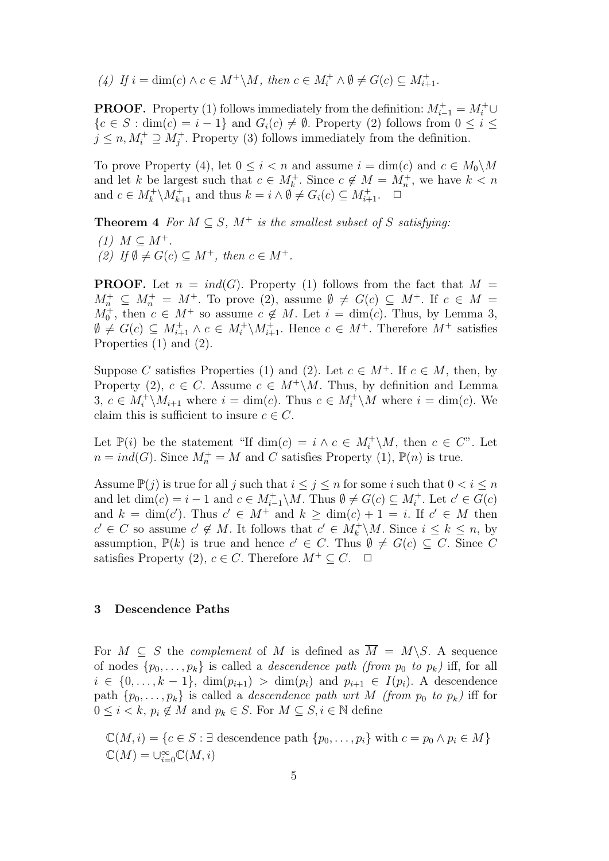(4) If  $i = \dim(c) \land c \in M^+ \backslash M$ , then  $c \in M_i^+ \land \emptyset \neq G(c) \subseteq M_{i+1}^+$ .

**PROOF.** Property (1) follows immediately from the definition:  $M_{i-1}^+ = M_i^+ \cup$  ${c \in S : \dim(c) = i - 1}$  and  $G_i(c) \neq \emptyset$ . Property (2) follows from  $0 \leq i \leq$  $j \leq n, M_i^+ \supseteq M_j^+$ . Property (3) follows immediately from the definition.

To prove Property (4), let  $0 \le i \le n$  and assume  $i = \dim(c)$  and  $c \in M_0\backslash M$ and let k be largest such that  $c \in M_k^+$ . Since  $c \notin M = M_n^+$ , we have  $k < n$ and  $c \in M_k^+ \backslash M_{k+1}^+$  and thus  $k = i \land \emptyset \neq G_i(c) \subseteq M_{i+1}^+$ .  $\Box$ 

**Theorem 4** For  $M \subseteq S$ ,  $M^+$  is the smallest subset of S satisfying:

(1)  $M \subset M^+$ . (2) If  $\emptyset \neq G(c) \subseteq M^+$ , then  $c \in M^+$ .

**PROOF.** Let  $n = ind(G)$ . Property (1) follows from the fact that  $M =$  $M_n^+ \subseteq M_n^+ = M^+$ . To prove (2), assume  $\emptyset \neq G(c) \subseteq M^+$ . If  $c \in M =$  $M_0^+$ , then  $c \in M^+$  so assume  $c \notin M$ . Let  $i = \dim(c)$ . Thus, by Lemma 3,  $\emptyset \neq G(c) \subseteq M_{i+1}^+ \wedge c \in M_i^+ \backslash M_{i+1}^+$ . Hence  $c \in M^+$ . Therefore  $M^+$  satisfies Properties (1) and (2).

Suppose C satisfies Properties (1) and (2). Let  $c \in M^+$ . If  $c \in M$ , then, by Property (2),  $c \in C$ . Assume  $c \in M^+\backslash M$ . Thus, by definition and Lemma 3,  $c \in M_i^+ \backslash M_{i+1}$  where  $i = \dim(c)$ . Thus  $c \in M_i^+ \backslash M$  where  $i = \dim(c)$ . We claim this is sufficient to insure  $c \in C$ .

Let  $\mathbb{P}(i)$  be the statement "If  $\dim(c) = i \wedge c \in M_i^+ \backslash M$ , then  $c \in C$ ". Let  $n = ind(G)$ . Since  $M_n^+ = M$  and C satisfies Property (1),  $\mathbb{P}(n)$  is true.

Assume  $\mathbb{P}(j)$  is true for all j such that  $i \leq j \leq n$  for some i such that  $0 < i \leq n$ and let  $\dim(c) = i - 1$  and  $c \in M_{i-1}^+ \backslash M$ . Thus  $\emptyset \neq G(c) \subseteq M_i^+$ . Let  $c' \in G(c)$ and  $k = \dim(c')$ . Thus  $c' \in M^+$  and  $k \geq \dim(c) + 1 = i$ . If  $c' \in M$  then  $c' \in C$  so assume  $c' \notin M$ . It follows that  $c' \in M_k^+\backslash M$ . Since  $i \leq k \leq n$ , by assumption,  $\mathbb{P}(k)$  is true and hence  $c' \in C$ . Thus  $\emptyset \neq G(c) \subseteq C$ . Since C satisfies Property (2),  $c \in C$ . Therefore  $M^+ \subseteq C$ .  $\Box$ 

# 3 Descendence Paths

For  $M \subseteq S$  the *complement* of M is defined as  $\overline{M} = M \backslash S$ . A sequence of nodes  $\{p_0, \ldots, p_k\}$  is called a *descendence path (from p<sub>0</sub> to p<sub>k</sub>)* iff, for all  $i \in \{0, ..., k-1\}$ ,  $\dim(p_{i+1}) > \dim(p_i)$  and  $p_{i+1} \in I(p_i)$ . A descendence path  $\{p_0, \ldots, p_k\}$  is called a *descendence path wrt M (from p<sub>0</sub> to p<sub>k</sub>)* iff for  $0 \leq i < k, p_i \notin M$  and  $p_k \in S$ . For  $M \subseteq S, i \in \mathbb{N}$  define

 $\mathbb{C}(M, i) = \{c \in S : \exists \text{ descendence path } \{p_0, \ldots, p_i\} \text{ with } c = p_0 \land p_i \in M\}$  $\mathbb{C}(M) = \cup_{i=0}^{\infty} \mathbb{C}(M, i)$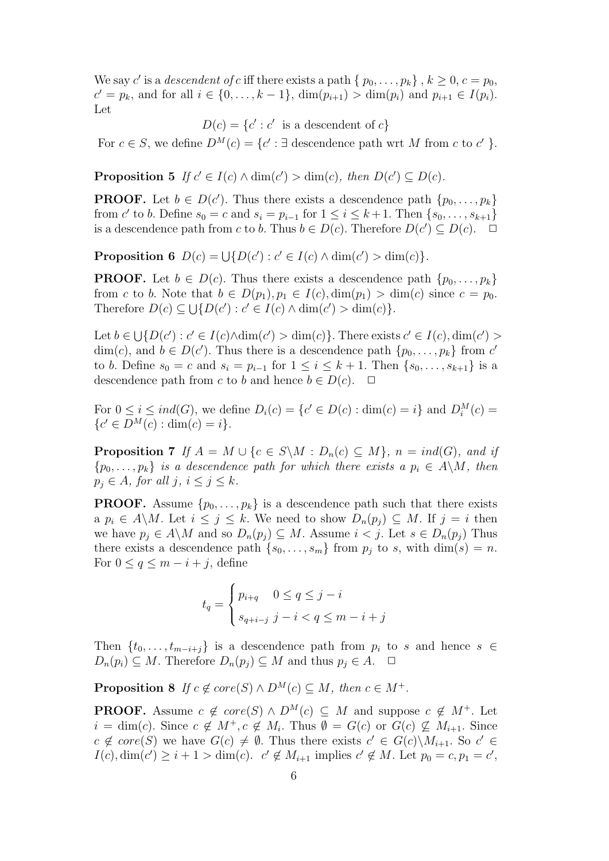We say c' is a descendent of c iff there exists a path  $\{p_0, \ldots, p_k\}, k \geq 0, c = p_0$ ,  $c' = p_k$ , and for all  $i \in \{0, ..., k-1\}$ ,  $\dim(p_{i+1}) > \dim(p_i)$  and  $p_{i+1} \in I(p_i)$ . Let

 $D(c) = \{c' : c' \text{ is a descendant of } c\}$ 

For  $c \in S$ , we define  $D^M(c) = \{c' : \exists$  descendence path wrt M from c to c' }.

**Proposition 5** If  $c' \in I(c) \land \dim(c') > \dim(c)$ , then  $D(c') \subseteq D(c)$ .

**PROOF.** Let  $b \in D(c')$ . Thus there exists a descendence path  $\{p_0, \ldots, p_k\}$ from c' to b. Define  $s_0 = c$  and  $s_i = p_{i-1}$  for  $1 \le i \le k+1$ . Then  $\{s_0, \ldots, s_{k+1}\}\$ is a descendence path from c to b. Thus  $b \in D(c)$ . Therefore  $D(c') \subseteq D(c)$ .  $\Box$ 

**Proposition 6**  $D(c) = \bigcup \{ D(c') : c' \in I(c) \land \dim(c') > \dim(c) \}.$ 

**PROOF.** Let  $b \in D(c)$ . Thus there exists a descendence path  $\{p_0, \ldots, p_k\}$ from c to b. Note that  $b \in D(p_1), p_1 \in I(c), \dim(p_1) > \dim(c)$  since  $c = p_0$ . Therefore  $D(c) \subseteq \bigcup \{ D(c') : c' \in I(c) \land \dim(c') > \dim(c) \}.$ 

Let  $b \in \bigcup \{D(c') : c' \in I(c) \land \dim(c') > \dim(c)\}\.$  There exists  $c' \in I(c), \dim(c') >$ dim(c), and  $b \in D(c')$ . Thus there is a descendence path  $\{p_0, \ldots, p_k\}$  from c' to b. Define  $s_0 = c$  and  $s_i = p_{i-1}$  for  $1 \le i \le k+1$ . Then  $\{s_0, \ldots, s_{k+1}\}\$ is a descendence path from c to b and hence  $b \in D(c)$ .  $\Box$ 

For  $0 \le i \le ind(G)$ , we define  $D_i(c) = \{c' \in D(c) : \dim(c) = i\}$  and  $D_i^M(c) =$  ${c' \in D^M(c) : \dim(c) = i}.$ 

**Proposition 7** If  $A = M \cup \{c \in S \setminus M : D_n(c) \subseteq M\}$ ,  $n = ind(G)$ , and if  $\{p_0, \ldots, p_k\}$  is a descendence path for which there exists a  $p_i \in A \backslash M$ , then  $p_j \in A$ , for all  $j, i \leq j \leq k$ .

**PROOF.** Assume  $\{p_0, \ldots, p_k\}$  is a descendence path such that there exists a  $p_i \in A \backslash M$ . Let  $i \leq j \leq k$ . We need to show  $D_n(p_i) \subseteq M$ . If  $j = i$  then we have  $p_i \in A \backslash M$  and so  $D_n(p_i) \subseteq M$ . Assume  $i < j$ . Let  $s \in D_n(p_i)$  Thus there exists a descendence path  $\{s_0, \ldots, s_m\}$  from  $p_j$  to s, with  $\dim(s) = n$ . For  $0 \leq q \leq m - i + j$ , define

$$
t_q = \begin{cases} p_{i+q} & 0 \le q \le j-i \\ s_{q+i-j} & j-i < q \le m-i+j \end{cases}
$$

Then  $\{t_0, \ldots, t_{m-i+j}\}\$ is a descendence path from  $p_i$  to s and hence s ∈  $D_n(p_i) \subseteq M$ . Therefore  $D_n(p_j) \subseteq M$  and thus  $p_j \in A$ .  $\Box$ 

**Proposition 8** If  $c \notin core(S) \wedge D^M(c) \subseteq M$ , then  $c \in M^+$ .

**PROOF.** Assume  $c \notin core(S) \wedge D^M(c) \subseteq M$  and suppose  $c \notin M^+$ . Let  $i = \dim(c)$ . Since  $c \notin M^+, c \notin M_i$ . Thus  $\emptyset = G(c)$  or  $G(c) \nsubseteq M_{i+1}$ . Since  $c \notin core(S)$  we have  $G(c) \neq \emptyset$ . Thus there exists  $c' \in G(c) \backslash M_{i+1}$ . So  $c' \in$  $I(c), \dim(c') \geq i+1 > \dim(c)$ .  $c' \notin M_{i+1}$  implies  $c' \notin M$ . Let  $p_0 = c, p_1 = c'$ ,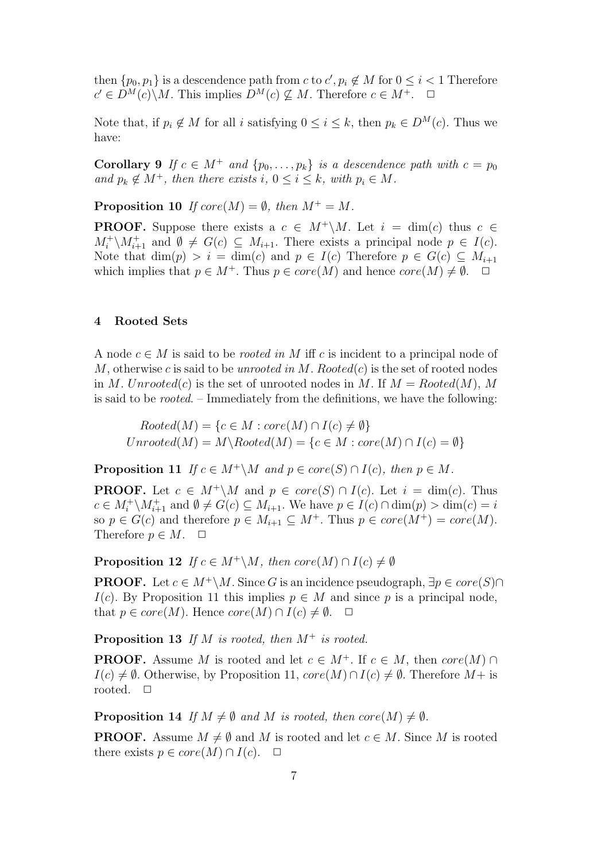then  $\{p_0, p_1\}$  is a descendence path from c to  $c', p_i \notin M$  for  $0 \leq i < 1$  Therefore  $c' \in D^M(c) \backslash M$ . This implies  $D^M(c) \nsubseteq M$ . Therefore  $c \in M^+$ .  $\Box$ 

Note that, if  $p_i \notin M$  for all i satisfying  $0 \le i \le k$ , then  $p_k \in D^M(c)$ . Thus we have:

Corollary 9 If  $c \in M^+$  and  $\{p_0, \ldots, p_k\}$  is a descendence path with  $c = p_0$ and  $p_k \notin M^+$ , then there exists i,  $0 \le i \le k$ , with  $p_i \in M$ .

**Proposition 10** If  $core(M) = \emptyset$ , then  $M^+ = M$ .

**PROOF.** Suppose there exists a  $c \in M^+\backslash M$ . Let  $i = \dim(c)$  thus  $c \in$  $M_i^+ \backslash M_{i+1}^+$  and  $\emptyset \neq G(c) \subseteq M_{i+1}$ . There exists a principal node  $p \in I(c)$ . Note that  $\dim(p) > i = \dim(c)$  and  $p \in I(c)$  Therefore  $p \in G(c) \subseteq M_{i+1}$ which implies that  $p \in M^+$ . Thus  $p \in core(M)$  and hence  $core(M) \neq \emptyset$ .  $\Box$ 

#### 4 Rooted Sets

A node  $c \in M$  is said to be *rooted in* M iff c is incident to a principal node of M, otherwise c is said to be unrooted in M. Rooted $(c)$  is the set of rooted nodes in M. Unrooted(c) is the set of unrooted nodes in M. If  $M = Rooted(M)$ , M is said to be rooted. – Immediately from the definitions, we have the following:

 $Rooted(M) = \{c \in M : core(M) \cap I(c) \neq \emptyset\}$  $Unrooted(M) = M\backslash Rooted(M) = \{c \in M : core(M) \cap I(c) = \emptyset\}$ 

**Proposition 11** If  $c \in M^+\backslash M$  and  $p \in core(S) \cap I(c)$ , then  $p \in M$ .

**PROOF.** Let  $c \in M^+\backslash M$  and  $p \in core(S) \cap I(c)$ . Let  $i = \dim(c)$ . Thus  $c \in M_i^+ \backslash M_{i+1}^+$  and  $\emptyset \neq G(c) \subseteq M_{i+1}$ . We have  $p \in I(c) \cap \dim(p) > \dim(c) = i$ so  $p \in G(c)$  and therefore  $p \in M_{i+1} \subseteq M^+$ . Thus  $p \in core(M^+) = core(M)$ . Therefore  $p \in M$ .  $\Box$ 

**Proposition 12** If  $c \in M^+\backslash M$ , then  $core(M) \cap I(c) \neq \emptyset$ 

**PROOF.** Let  $c \in M^+\backslash M$ . Since G is an incidence pseudograph,  $\exists p \in core(S) \cap$ I(c). By Proposition 11 this implies  $p \in M$  and since p is a principal node, that  $p \in core(M)$ . Hence  $core(M) \cap I(c) \neq \emptyset$ .  $\Box$ 

**Proposition 13** If M is rooted, then  $M^+$  is rooted.

**PROOF.** Assume M is rooted and let  $c \in M^+$ . If  $c \in M$ , then  $core(M) \cap$  $I(c) \neq \emptyset$ . Otherwise, by Proposition 11,  $core(M) \cap I(c) \neq \emptyset$ . Therefore  $M+$  is rooted.  $\Box$ 

**Proposition 14** If  $M \neq \emptyset$  and M is rooted, then core $(M) \neq \emptyset$ .

**PROOF.** Assume  $M \neq \emptyset$  and M is rooted and let  $c \in M$ . Since M is rooted there exists  $p \in core(M) \cap I(c)$ .  $\Box$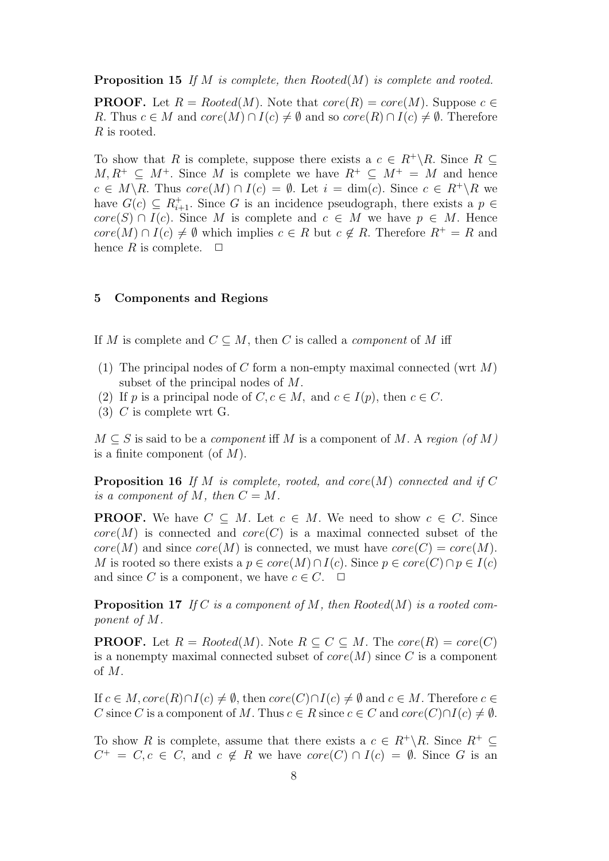**Proposition 15** If M is complete, then Rooted(M) is complete and rooted.

**PROOF.** Let  $R = Rooted(M)$ . Note that  $core(R) = core(M)$ . Suppose  $c \in$ R. Thus  $c \in M$  and  $core(M) \cap I(c) \neq \emptyset$  and so  $core(R) \cap I(c) \neq \emptyset$ . Therefore R is rooted.

To show that R is complete, suppose there exists a  $c \in R^+\backslash R$ . Since  $R \subseteq$  $M, R^+ \subset M^+$ . Since M is complete we have  $R^+ \subset M^+ = M$  and hence  $c \in M \backslash R$ . Thus  $core(M) \cap I(c) = \emptyset$ . Let  $i = \dim(c)$ . Since  $c \in R^+ \backslash R$  we have  $G(c) \subseteq R_{i+1}^+$ . Since G is an incidence pseudograph, there exists a  $p \in$  $core(S) \cap I(c)$ . Since M is complete and  $c \in M$  we have  $p \in M$ . Hence  $core(M) \cap I(c) \neq \emptyset$  which implies  $c \in R$  but  $c \notin R$ . Therefore  $R^+ = R$  and hence R is complete.  $\Box$ 

# 5 Components and Regions

If M is complete and  $C \subseteq M$ , then C is called a *component* of M iff

- (1) The principal nodes of C form a non-empty maximal connected (wrt  $M$ ) subset of the principal nodes of M.
- (2) If p is a principal node of  $C, c \in M$ , and  $c \in I(p)$ , then  $c \in C$ .
- (3) C is complete wrt G.

 $M \subseteq S$  is said to be a *component* iff M is a component of M. A region (of M) is a finite component (of  $M$ ).

**Proposition 16** If M is complete, rooted, and core  $(M)$  connected and if C is a component of M, then  $C = M$ .

**PROOF.** We have  $C \subseteq M$ . Let  $c \in M$ . We need to show  $c \in C$ . Since  $core(M)$  is connected and  $core(C)$  is a maximal connected subset of the  $core(M)$  and since  $core(M)$  is connected, we must have  $core(C) = core(M)$ . M is rooted so there exists a  $p \in core(M) \cap I(c)$ . Since  $p \in core(C) \cap p \in I(c)$ and since C is a component, we have  $c \in C$ .  $\Box$ 

**Proposition 17** If C is a component of M, then Rooted(M) is a rooted component of M.

**PROOF.** Let  $R = Rooted(M)$ . Note  $R \subseteq C \subseteq M$ . The core $(R) = core(C)$ is a nonempty maximal connected subset of  $core(M)$  since C is a component of M.

If  $c \in M$ ,  $core(R) \cap I(c) \neq \emptyset$ , then  $core(C) \cap I(c) \neq \emptyset$  and  $c \in M$ . Therefore  $c \in$ C since C is a component of M. Thus  $c \in R$  since  $c \in C$  and  $core(C) \cap I(c) \neq \emptyset$ .

To show R is complete, assume that there exists a  $c \in R^+\backslash R$ . Since  $R^+ \subseteq$  $C^+ = C, c \in C$ , and  $c \notin R$  we have  $core(C) \cap I(c) = \emptyset$ . Since G is an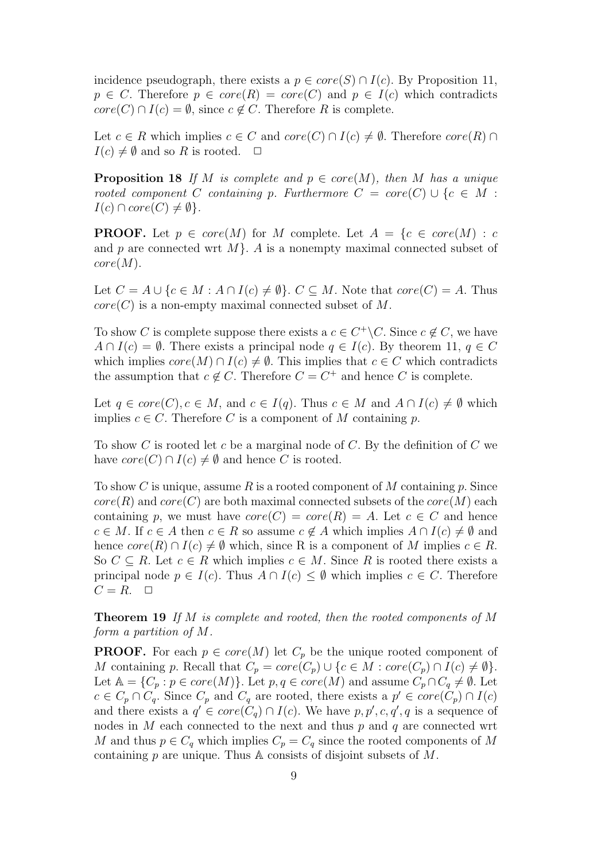incidence pseudograph, there exists a  $p \in core(S) \cap I(c)$ . By Proposition 11,  $p \in C$ . Therefore  $p \in core(R) = core(C)$  and  $p \in I(c)$  which contradicts  $core(C) \cap I(c) = \emptyset$ , since  $c \notin C$ . Therefore R is complete.

Let  $c \in R$  which implies  $c \in C$  and  $core(C) \cap I(c) \neq \emptyset$ . Therefore  $core(R) \cap I(c)$  $I(c) \neq \emptyset$  and so R is rooted.  $\Box$ 

**Proposition 18** If M is complete and  $p \in core(M)$ , then M has a unique rooted component C containing p. Furthermore  $C = core(C) \cup \{c \in M :$  $I(c) \cap core(C) \neq \emptyset$ .

**PROOF.** Let  $p \in core(M)$  for M complete. Let  $A = \{c \in core(M) : c$ and p are connected wrt  $M$ . A is a nonempty maximal connected subset of  $core(M).$ 

Let  $C = A \cup \{c \in M : A \cap I(c) \neq \emptyset\}$ .  $C \subseteq M$ . Note that  $core(C) = A$ . Thus  $core(C)$  is a non-empty maximal connected subset of M.

To show C is complete suppose there exists a  $c \in C^+ \backslash C$ . Since  $c \notin C$ , we have  $A \cap I(c) = \emptyset$ . There exists a principal node  $q \in I(c)$ . By theorem 11,  $q \in C$ which implies  $core(M) \cap I(c) \neq \emptyset$ . This implies that  $c \in C$  which contradicts the assumption that  $c \notin C$ . Therefore  $C = C^+$  and hence C is complete.

Let  $q \in core(C), c \in M$ , and  $c \in I(q)$ . Thus  $c \in M$  and  $A \cap I(c) \neq \emptyset$  which implies  $c \in C$ . Therefore C is a component of M containing p.

To show C is rooted let c be a marginal node of C. By the definition of C we have  $core(C) \cap I(c) \neq \emptyset$  and hence C is rooted.

To show C is unique, assume R is a rooted component of M containing p. Since  $core(R)$  and  $core(C)$  are both maximal connected subsets of the  $core(M)$  each containing p, we must have  $core(C) = core(R) = A$ . Let  $c \in C$  and hence  $c \in M$ . If  $c \in A$  then  $c \in R$  so assume  $c \notin A$  which implies  $A \cap I(c) \neq \emptyset$  and hence  $core(R) \cap I(c) \neq \emptyset$  which, since R is a component of M implies  $c \in R$ . So  $C \subseteq R$ . Let  $c \in R$  which implies  $c \in M$ . Since R is rooted there exists a principal node  $p \in I(c)$ . Thus  $A \cap I(c) \leq \emptyset$  which implies  $c \in C$ . Therefore  $C = R$ .  $\Box$ 

**Theorem 19** If M is complete and rooted, then the rooted components of M form a partition of M.

**PROOF.** For each  $p \in core(M)$  let  $C_p$  be the unique rooted component of M containing p. Recall that  $C_p = core(C_p) \cup \{c \in M : core(C_p) \cap I(c) \neq \emptyset\}.$ Let  $\mathbb{A} = \{C_p : p \in core(M)\}\.$  Let  $p, q \in core(M)$  and assume  $C_p \cap C_q \neq \emptyset$ . Let  $c \in C_p \cap C_q$ . Since  $C_p$  and  $C_q$  are rooted, there exists a  $p' \in core(C_p) \cap I(c)$ and there exists a  $q' \in core(C_q) \cap I(c)$ . We have  $p, p', c, q', q$  is a sequence of nodes in  $M$  each connected to the next and thus  $p$  and  $q$  are connected wrt M and thus  $p \in C_q$  which implies  $C_p = C_q$  since the rooted components of M containing  $p$  are unique. Thus A consists of disjoint subsets of  $M$ .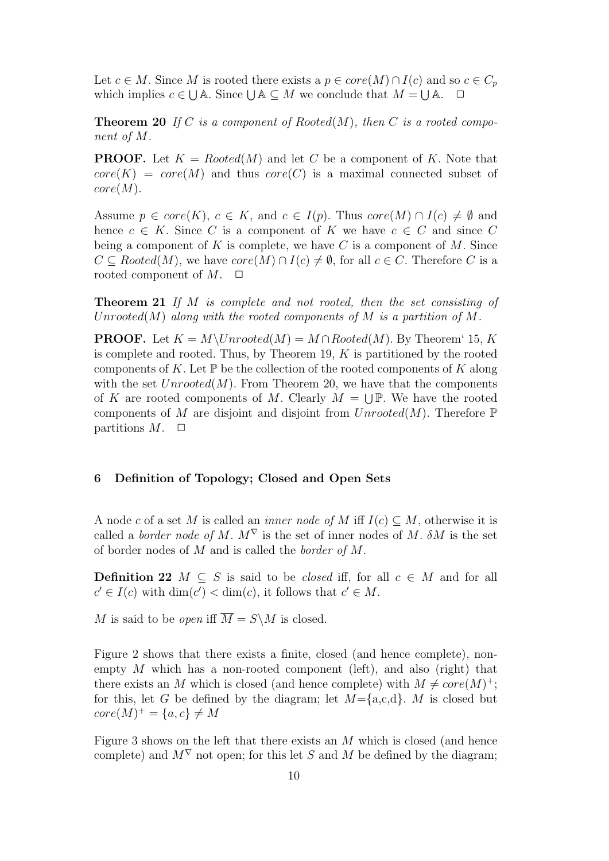Let  $c \in M$ . Since M is rooted there exists a  $p \in core(M) \cap I(c)$  and so  $c \in C_p$ which implies  $c \in \bigcup A$ . Since  $\bigcup A \subseteq M$  we conclude that  $M = \bigcup A$ .  $\Box$ 

**Theorem 20** If C is a component of Rooted $(M)$ , then C is a rooted component of M.

**PROOF.** Let  $K = Rooted(M)$  and let C be a component of K. Note that  $core(K) = core(M)$  and thus  $core(C)$  is a maximal connected subset of  $core(M).$ 

Assume  $p \in core(K)$ ,  $c \in K$ , and  $c \in I(p)$ . Thus  $core(M) \cap I(c) \neq \emptyset$  and hence  $c \in K$ . Since C is a component of K we have  $c \in C$  and since C being a component of K is complete, we have C is a component of M. Since  $C \subseteq Rooted(M)$ , we have  $core(M) \cap I(c) \neq \emptyset$ , for all  $c \in C$ . Therefore C is a rooted component of  $M$ .  $\Box$ 

Theorem 21 If M is complete and not rooted, then the set consisting of Unrooted(M) along with the rooted components of M is a partition of M.

**PROOF.** Let  $K = M\Upsilon$  *N* netral  $(M) = M \cap R$  *ooted* $(M)$ . By Theorem 15, K is complete and rooted. Thus, by Theorem 19,  $K$  is partitioned by the rooted components of K. Let  $\mathbb P$  be the collection of the rooted components of K along with the set  $Unrooted(M)$ . From Theorem 20, we have that the components of K are rooted components of M. Clearly  $M = \bigcup \mathbb{P}$ . We have the rooted components of M are disjoint and disjoint from  $Unrooted(M)$ . Therefore  $\mathbb P$ partitions  $M$ .  $\Box$ 

# 6 Definition of Topology; Closed and Open Sets

A node c of a set M is called an *inner node of* M iff  $I(c) \subseteq M$ , otherwise it is called a *border node of M.*  $M^{\nabla}$  is the set of inner nodes of M.  $\delta M$  is the set of border nodes of M and is called the border of M.

**Definition 22**  $M \subseteq S$  is said to be *closed* iff, for all  $c \in M$  and for all  $c' \in I(c)$  with  $\dim(c') < \dim(c)$ , it follows that  $c' \in M$ .

M is said to be *open* iff  $\overline{M} = S \backslash M$  is closed.

Figure 2 shows that there exists a finite, closed (and hence complete), nonempty  $M$  which has a non-rooted component (left), and also (right) that there exists an M which is closed (and hence complete) with  $M \neq core(M)^+$ ; for this, let G be defined by the diagram; let  $M = \{a, c, d\}$ . M is closed but  $core(M)^{+} = \{a, c\} \neq M$ 

Figure 3 shows on the left that there exists an M which is closed (and hence complete) and  $M^{\nabla}$  not open; for this let S and M be defined by the diagram;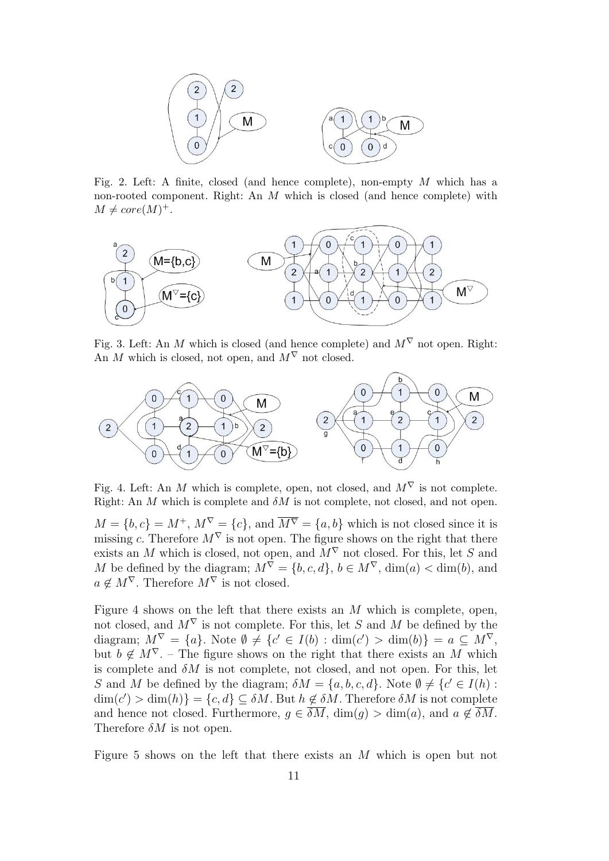

Fig. 2. Left: A finite, closed (and hence complete), non-empty  $M$  which has a non-rooted component. Right: An M which is closed (and hence complete) with  $M \neq core(M)^{+}.$ 



Fig. 3. Left: An M which is closed (and hence complete) and  $M^{\nabla}$  not open. Right: An M which is closed, not open, and  $M^{\nabla}$  not closed.



Fig. 4. Left: An M which is complete, open, not closed, and  $M^{\nabla}$  is not complete. Right: An  $M$  which is complete and  $\delta M$  is not complete, not closed, and not open.

 $M = \{b, c\} = M^+, M^{\nabla} = \{c\}$ , and  $\overline{M^{\nabla}} = \{a, b\}$  which is not closed since it is missing c. Therefore  $M^{\nabla}$  is not open. The figure shows on the right that there exists an M which is closed, not open, and  $M^{\nabla}$  not closed. For this, let S and M be defined by the diagram;  $M^{\overline{\nabla}} = \{b, c, d\}$ ,  $b \in M^{\nabla}$ ,  $\dim(a) < \dim(b)$ , and  $a \notin M^{\nabla}$ . Therefore  $M^{\nabla}$  is not closed.

Figure 4 shows on the left that there exists an  $M$  which is complete, open, not closed, and  $M^{\nabla}$  is not complete. For this, let S and M be defined by the diagram;  $M^{\nabla} = \{a\}$ . Note  $\emptyset \neq \{c' \in I(b) : \dim(c') > \dim(b)\} = a \subseteq M^{\nabla}$ , but  $b \notin M^{\nabla}$ . – The figure shows on the right that there exists an M which is complete and  $\delta M$  is not complete, not closed, and not open. For this, let S and M be defined by the diagram;  $\delta M = \{a, b, c, d\}$ . Note  $\emptyset \neq \{c' \in I(h) :$  $\dim(c') > \dim(h)$ } = {c, d}  $\subseteq \delta M$ . But  $h \notin \delta M$ . Therefore  $\delta M$  is not complete and hence not closed. Furthermore,  $g \in \overline{\delta M}$ ,  $\dim(g) > \dim(a)$ , and  $a \notin \overline{\delta M}$ . Therefore  $\delta M$  is not open.

Figure 5 shows on the left that there exists an M which is open but not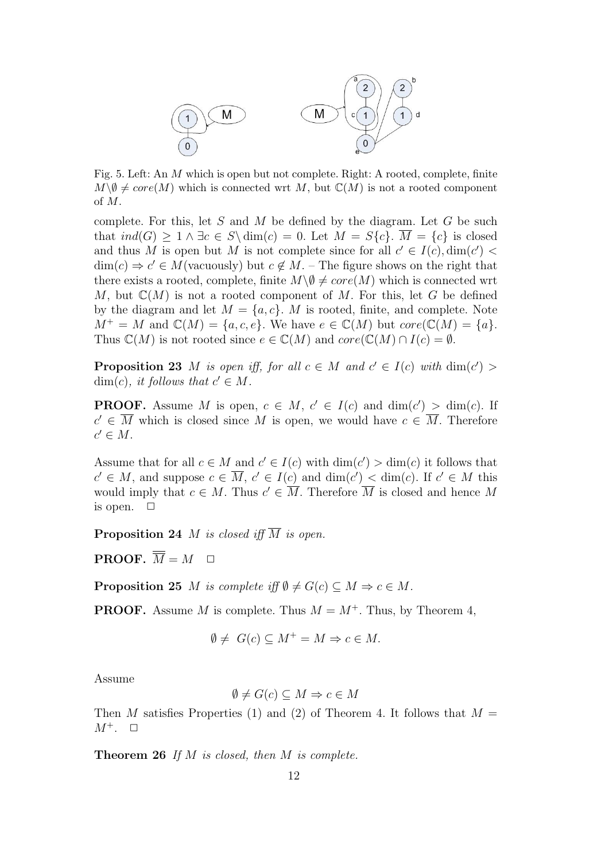

Fig. 5. Left: An M which is open but not complete. Right: A rooted, complete, finite  $M\backslash\emptyset\neq core(M)$  which is connected wrt M, but  $\mathbb{C}(M)$  is not a rooted component of M.

complete. For this, let  $S$  and  $M$  be defined by the diagram. Let  $G$  be such that  $ind(G) > 1 \wedge \exists c \in S \setminus dim(c) = 0$ . Let  $M = S\{c\}$ .  $\overline{M} = \{c\}$  is closed and thus M is open but M is not complete since for all  $c' \in I(c)$ ,  $\dim(c')$  $\dim(c) \Rightarrow c' \in M$ (vacuously) but  $c \notin M$ . – The figure shows on the right that there exists a rooted, complete, finite  $M\backslash\emptyset\neq core(M)$  which is connected wrt M, but  $\mathbb{C}(M)$  is not a rooted component of M. For this, let G be defined by the diagram and let  $M = \{a, c\}$ . M is rooted, finite, and complete. Note  $M^+ = M$  and  $\mathbb{C}(M) = \{a, c, e\}$ . We have  $e \in \mathbb{C}(M)$  but  $core(\mathbb{C}(M) = \{a\})$ . Thus  $\mathbb{C}(M)$  is not rooted since  $e \in \mathbb{C}(M)$  and  $core(\mathbb{C}(M) \cap I(c) = \emptyset$ .

**Proposition 23** M is open iff, for all  $c \in M$  and  $c' \in I(c)$  with  $\dim(c') >$  $\dim(c)$ , it follows that  $c' \in M$ .

**PROOF.** Assume M is open,  $c \in M$ ,  $c' \in I(c)$  and  $\dim(c') > \dim(c)$ . If  $c' \in \overline{M}$  which is closed since M is open, we would have  $c \in \overline{M}$ . Therefore  $c' \in M$ .

Assume that for all  $c \in M$  and  $c' \in I(c)$  with  $\dim(c') > \dim(c)$  it follows that  $c' \in M$ , and suppose  $c \in \overline{M}$ ,  $c' \in I(c)$  and  $\dim(c') < \dim(c)$ . If  $c' \in M$  this would imply that  $c \in M$ . Thus  $c' \in \overline{M}$ . Therefore  $\overline{M}$  is closed and hence M is open.  $\Box$ 

**Proposition 24** *M* is closed iff  $\overline{M}$  is open.

**PROOF.**  $\overline{\overline{M}} = M$ 

**Proposition 25** M is complete iff  $\emptyset \neq G(c) \subseteq M \Rightarrow c \in M$ .

**PROOF.** Assume M is complete. Thus  $M = M^+$ . Thus, by Theorem 4,

$$
\emptyset \neq G(c) \subseteq M^+ = M \Rightarrow c \in M.
$$

Assume

$$
\emptyset \neq G(c) \subseteq M \Rightarrow c \in M
$$

Then M satisfies Properties (1) and (2) of Theorem 4. It follows that  $M =$  $M^+$ .  $\Box$ 

Theorem 26 If M is closed, then M is complete.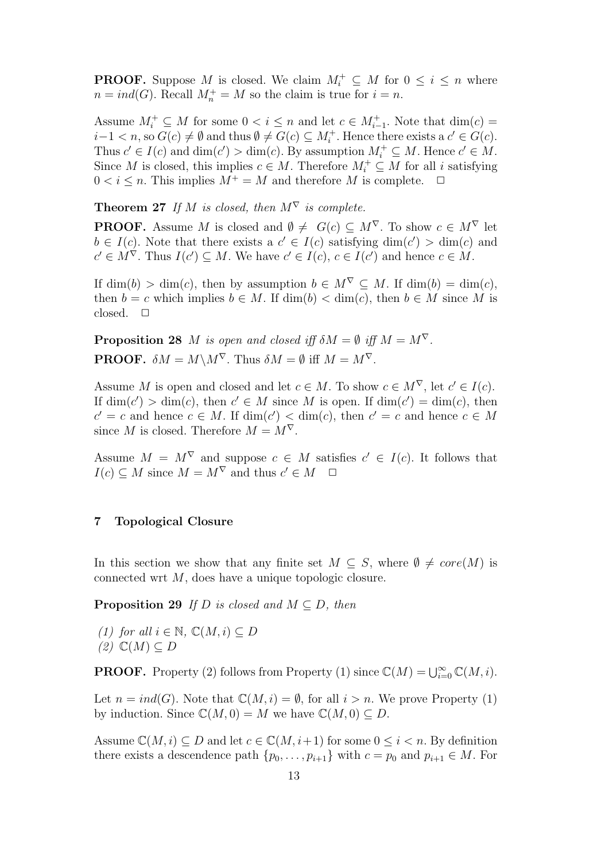**PROOF.** Suppose M is closed. We claim  $M_i^+ \subseteq M$  for  $0 \le i \le n$  where  $n = ind(G)$ . Recall  $M_n^+ = M$  so the claim is true for  $i = n$ .

Assume  $M_i^+ \subseteq M$  for some  $0 < i \leq n$  and let  $c \in M_{i-1}^+$ . Note that  $\dim(c) =$  $i-1 < n$ , so  $G(c) \neq \emptyset$  and thus  $\emptyset \neq G(c) \subseteq M_i^+$ . Hence there exists a  $c' \in G(c)$ . Thus  $c' \in I(c)$  and  $\dim(c') > \dim(c)$ . By assumption  $M_i^+ \subseteq M$ . Hence  $c' \in M$ . Since M is closed, this implies  $c \in M$ . Therefore  $M_i^+ \subseteq M$  for all i satisfying  $0 < i \leq n$ . This implies  $M^+ = M$  and therefore M is complete.  $\Box$ 

**Theorem 27** If M is closed, then  $M^{\nabla}$  is complete.

**PROOF.** Assume M is closed and  $\emptyset \neq G(c) \subseteq M^{\nabla}$ . To show  $c \in M^{\nabla}$  let  $b \in I(c)$ . Note that there exists a  $c' \in I(c)$  satisfying  $\dim(c') > \dim(c)$  and  $c' \in M^{\nabla}$ . Thus  $I(c') \subseteq M$ . We have  $c' \in I(c)$ ,  $c \in I(c')$  and hence  $c \in M$ .

If  $\dim(b) > \dim(c)$ , then by assumption  $b \in M^{\nabla} \subset M$ . If  $\dim(b) = \dim(c)$ , then  $b = c$  which implies  $b \in M$ . If  $\dim(b) < \dim(c)$ , then  $b \in M$  since M is closed.  $\square$ 

**Proposition 28** M is open and closed iff  $\delta M = \emptyset$  iff  $M = M^{\nabla}$ . **PROOF.**  $\delta M = M \backslash M^{\nabla}$ . Thus  $\delta M = \emptyset$  iff  $M = M^{\nabla}$ .

Assume M is open and closed and let  $c \in M$ . To show  $c \in M^{\nabla}$ , let  $c' \in I(c)$ . If  $\dim(c') > \dim(c)$ , then  $c' \in M$  since M is open. If  $\dim(c') = \dim(c)$ , then  $c' = c$  and hence  $c \in M$ . If  $\dim(c') < \dim(c)$ , then  $c' = c$  and hence  $c \in M$ since M is closed. Therefore  $M = M^{\nabla}$ .

Assume  $M = M^{\nabla}$  and suppose  $c \in M$  satisfies  $c' \in I(c)$ . It follows that  $I(c) \subseteq M$  since  $M = M^{\nabla}$  and thus  $c' \in M$   $\Box$ 

# 7 Topological Closure

In this section we show that any finite set  $M \subseteq S$ , where  $\emptyset \neq core(M)$  is connected wrt M, does have a unique topologic closure.

**Proposition 29** If D is closed and  $M \subseteq D$ , then

(1) for all  $i \in \mathbb{N}$ ,  $\mathbb{C}(M, i) \subseteq D$  $(2)$   $\mathbb{C}(M) \subseteq D$ 

**PROOF.** Property (2) follows from Property (1) since  $\mathbb{C}(M) = \bigcup_{i=0}^{\infty} \mathbb{C}(M, i)$ .

Let  $n = ind(G)$ . Note that  $\mathbb{C}(M, i) = \emptyset$ , for all  $i > n$ . We prove Property (1) by induction. Since  $\mathbb{C}(M, 0) = M$  we have  $\mathbb{C}(M, 0) \subset D$ .

Assume  $\mathbb{C}(M, i) \subseteq D$  and let  $c \in \mathbb{C}(M, i+1)$  for some  $0 \leq i \leq n$ . By definition there exists a descendence path  $\{p_0, \ldots, p_{i+1}\}\$  with  $c = p_0$  and  $p_{i+1} \in M$ . For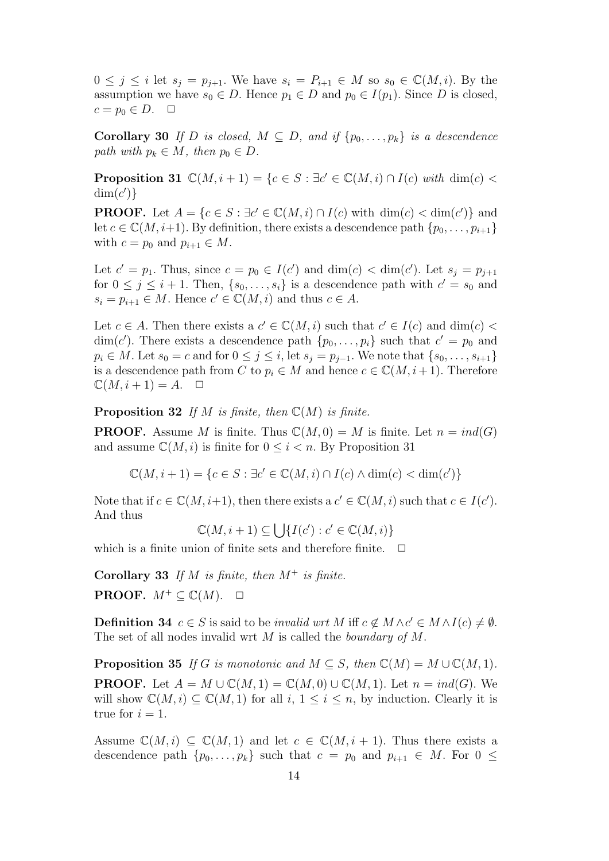$0 \leq j \leq i$  let  $s_j = p_{j+1}$ . We have  $s_i = P_{i+1} \in M$  so  $s_0 \in \mathbb{C}(M, i)$ . By the assumption we have  $s_0 \in D$ . Hence  $p_1 \in D$  and  $p_0 \in I(p_1)$ . Since D is closed,  $c = p_0 \in D$ .  $\Box$ 

Corollary 30 If D is closed,  $M \subseteq D$ , and if  $\{p_0, \ldots, p_k\}$  is a descendence path with  $p_k \in M$ , then  $p_0 \in D$ .

**Proposition 31**  $\mathbb{C}(M, i + 1) = \{c \in S : \exists c' \in \mathbb{C}(M, i) \cap I(c) \text{ with } \dim(c)$  $\dim(c')\}$ 

**PROOF.** Let  $A = \{c \in S : \exists c' \in \mathbb{C}(M, i) \cap I(c) \text{ with } \dim(c) < \dim(c')\}$  and let  $c \in \mathbb{C}(M, i+1)$ . By definition, there exists a descendence path  $\{p_0, \ldots, p_{i+1}\}\$ with  $c = p_0$  and  $p_{i+1} \in M$ .

Let  $c' = p_1$ . Thus, since  $c = p_0 \in I(c')$  and  $\dim(c) < \dim(c')$ . Let  $s_j = p_{j+1}$ for  $0 \leq j \leq i+1$ . Then,  $\{s_0, \ldots, s_i\}$  is a descendence path with  $c' = s_0$  and  $s_i = p_{i+1} \in M$ . Hence  $c' \in \mathbb{C}(M, i)$  and thus  $c \in A$ .

Let  $c \in A$ . Then there exists a  $c' \in \mathbb{C}(M, i)$  such that  $c' \in I(c)$  and  $\dim(c)$  $\dim(c')$ . There exists a descendence path  $\{p_0, \ldots, p_i\}$  such that  $c' = p_0$  and  $p_i \in M$ . Let  $s_0 = c$  and for  $0 \leq j \leq i$ , let  $s_j = p_{j-1}$ . We note that  $\{s_0, \ldots, s_{i+1}\}\$ is a descendence path from C to  $p_i \in M$  and hence  $c \in \mathbb{C}(M, i+1)$ . Therefore  $\mathbb{C}(M, i+1) = A. \quad \Box$ 

**Proposition 32** If M is finite, then  $\mathbb{C}(M)$  is finite.

**PROOF.** Assume M is finite. Thus  $\mathbb{C}(M, 0) = M$  is finite. Let  $n = ind(G)$ and assume  $\mathbb{C}(M, i)$  is finite for  $0 \leq i \leq n$ . By Proposition 31

 $\mathbb{C}(M, i + 1) = \{c \in S : \exists c' \in \mathbb{C}(M, i) \cap I(c) \land \dim(c) < \dim(c')\}$ 

Note that if  $c \in \mathbb{C}(M, i+1)$ , then there exists a  $c' \in \mathbb{C}(M, i)$  such that  $c \in I(c')$ . And thus

 $\mathbb{C}(M, i+1) \subseteq \bigcup \{I(c') : c' \in \mathbb{C}(M, i)\}\$ 

which is a finite union of finite sets and therefore finite.  $\Box$ 

Corollary 33 If M is finite, then  $M^+$  is finite. **PROOF.**  $M^+ \subseteq \mathbb{C}(M)$ .  $\Box$ 

**Definition 34**  $c \in S$  is said to be *invalid wrt* M iff  $c \notin M \wedge c' \in M \wedge I(c) \neq \emptyset$ . The set of all nodes invalid wrt M is called the *boundary of M*.

**Proposition 35** If G is monotonic and  $M \subseteq S$ , then  $\mathbb{C}(M) = M \cup \mathbb{C}(M, 1)$ . **PROOF.** Let  $A = M \cup \mathbb{C}(M, 1) = \mathbb{C}(M, 0) \cup \mathbb{C}(M, 1)$ . Let  $n = ind(G)$ . We will show  $\mathbb{C}(M, i) \subseteq \mathbb{C}(M, 1)$  for all  $i, 1 \leq i \leq n$ , by induction. Clearly it is true for  $i = 1$ .

Assume  $\mathbb{C}(M, i) \subseteq \mathbb{C}(M, 1)$  and let  $c \in \mathbb{C}(M, i + 1)$ . Thus there exists a descendence path  $\{p_0, \ldots, p_k\}$  such that  $c = p_0$  and  $p_{i+1} \in M$ . For  $0 \leq$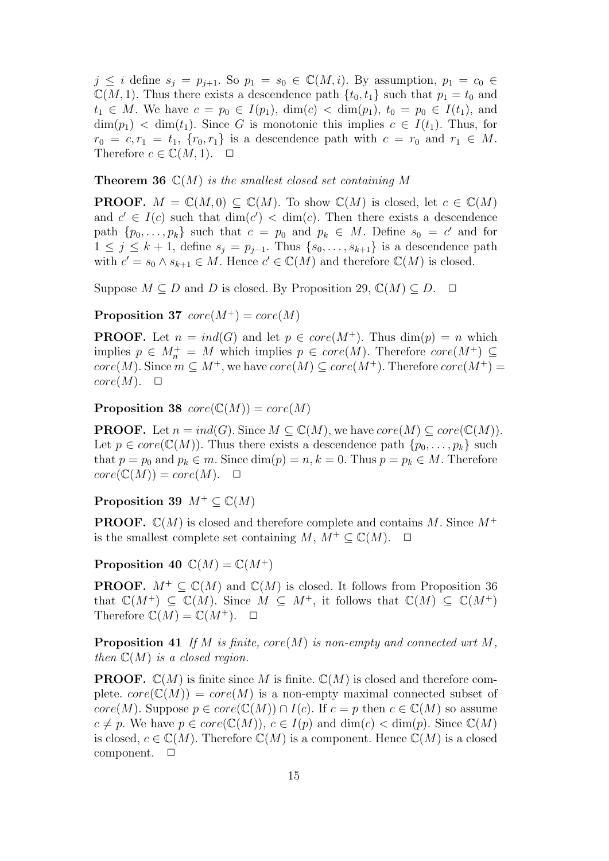$j \leq i$  define  $s_j = p_{j+1}$ . So  $p_1 = s_0 \in \mathbb{C}(M, i)$ . By assumption,  $p_1 = c_0 \in$  $\mathbb{C}(M, 1)$ . Thus there exists a descendence path  $\{t_0, t_1\}$  such that  $p_1 = t_0$  and  $t_1 \in M$ . We have  $c = p_0 \in I(p_1)$ ,  $\dim(c) < \dim(p_1)$ ,  $t_0 = p_0 \in I(t_1)$ , and  $\dim(p_1)$  <  $\dim(t_1)$ . Since G is monotonic this implies  $c \in I(t_1)$ . Thus, for  $r_0 = c, r_1 = t_1, \{r_0, r_1\}$  is a descendence path with  $c = r_0$  and  $r_1 \in M$ . Therefore  $c \in \mathbb{C}(M, 1)$ .  $\Box$ 

**Theorem 36**  $\mathbb{C}(M)$  is the smallest closed set containing M

**PROOF.**  $M = \mathbb{C}(M, 0) \subset \mathbb{C}(M)$ . To show  $\mathbb{C}(M)$  is closed, let  $c \in \mathbb{C}(M)$ and  $c' \in I(c)$  such that  $\dim(c') < \dim(c)$ . Then there exists a descendence path  $\{p_0, \ldots, p_k\}$  such that  $c = p_0$  and  $p_k \in M$ . Define  $s_0 = c'$  and for  $1 \leq j \leq k+1$ , define  $s_j = p_{j-1}$ . Thus  $\{s_0, \ldots, s_{k+1}\}\$ is a descendence path with  $c' = s_0 \wedge s_{k+1} \in M$ . Hence  $c' \in \mathbb{C}(M)$  and therefore  $\mathbb{C}(M)$  is closed.

Suppose  $M \subseteq D$  and D is closed. By Proposition 29,  $\mathbb{C}(M) \subseteq D$ .  $\Box$ 

**Proposition 37**  $core(M^+) = core(M)$ 

**PROOF.** Let  $n = ind(G)$  and let  $p \in core(M^+)$ . Thus  $dim(p) = n$  which implies  $p \in M_n^+ = M$  which implies  $p \in core(M)$ . Therefore  $core(M^+) \subseteq$  $core(M)$ . Since  $m \subseteq M^+$ , we have  $core(M) \subseteq core(M^+)$ . Therefore  $core(M^+)$  $core(M). \quad \Box$ 

**Proposition 38**  $core(\mathbb{C}(M)) = core(M)$ 

**PROOF.** Let  $n = ind(G)$ . Since  $M \subseteq \mathbb{C}(M)$ , we have  $core(M) \subseteq core(\mathbb{C}(M))$ . Let  $p \in core(\mathbb{C}(M))$ . Thus there exists a descendence path  $\{p_0, \ldots, p_k\}$  such that  $p = p_0$  and  $p_k \in m$ . Since  $\dim(p) = n, k = 0$ . Thus  $p = p_k \in M$ . Therefore  $core(\mathbb{C}(M)) = core(M). \quad \Box$ 

Proposition 39  $M^+ \subset \mathbb{C}(M)$ 

**PROOF.**  $\mathbb{C}(M)$  is closed and therefore complete and contains M. Since  $M^+$ is the smallest complete set containing  $M, M^+ \subset \mathbb{C}(M)$ .  $\Box$ 

Proposition 40  $\mathbb{C}(M) = \mathbb{C}(M^+)$ 

**PROOF.**  $M^+ \subseteq \mathbb{C}(M)$  and  $\mathbb{C}(M)$  is closed. It follows from Proposition 36 that  $\mathbb{C}(M^+) \subset \mathbb{C}(M)$ . Since  $M \subset M^+$ , it follows that  $\mathbb{C}(M) \subset \mathbb{C}(M^+)$ Therefore  $\mathbb{C}(M) = \mathbb{C}(M^+)$ .  $\Box$ 

**Proposition 41** If M is finite,  $core(M)$  is non-empty and connected wrt M, then  $\mathbb{C}(M)$  is a closed region.

**PROOF.**  $\mathbb{C}(M)$  is finite since M is finite.  $\mathbb{C}(M)$  is closed and therefore complete.  $core(\mathbb{C}(M)) = core(M)$  is a non-empty maximal connected subset of core(M). Suppose  $p \in core(\mathbb{C}(M)) \cap I(c)$ . If  $c = p$  then  $c \in \mathbb{C}(M)$  so assume  $c \neq p$ . We have  $p \in core(\mathbb{C}(M)), c \in I(p)$  and  $\dim(c) < \dim(p)$ . Since  $\mathbb{C}(M)$ is closed,  $c \in \mathbb{C}(M)$ . Therefore  $\mathbb{C}(M)$  is a component. Hence  $\mathbb{C}(M)$  is a closed component.  $\square$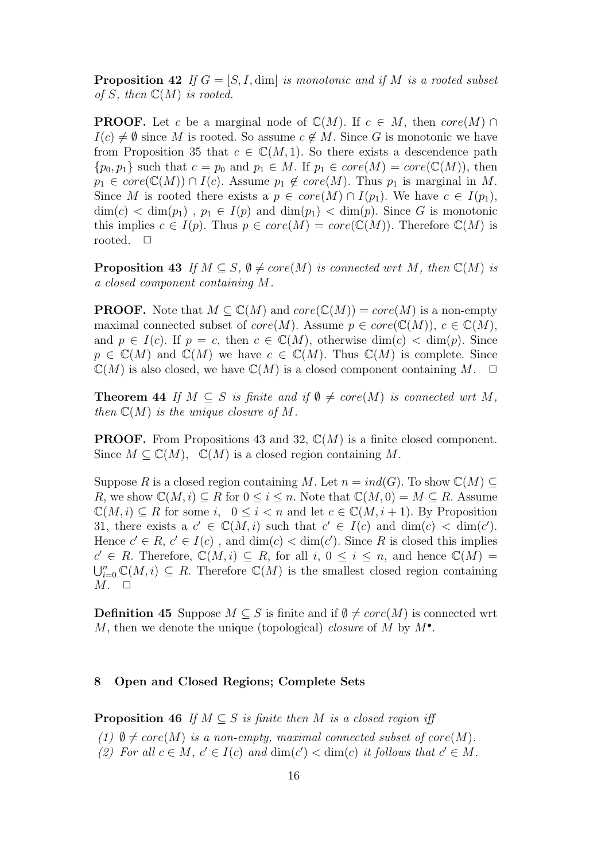**Proposition 42** If  $G = [S, I, \text{dim}]$  is monotonic and if M is a rooted subset of S, then  $\mathbb{C}(M)$  is rooted.

**PROOF.** Let c be a marginal node of  $\mathbb{C}(M)$ . If  $c \in M$ , then core $(M) \cap$  $I(c) \neq \emptyset$  since M is rooted. So assume  $c \notin M$ . Since G is monotonic we have from Proposition 35 that  $c \in \mathbb{C}(M, 1)$ . So there exists a descendence path  $\{p_0, p_1\}$  such that  $c = p_0$  and  $p_1 \in M$ . If  $p_1 \in core(M) = core(\mathbb{C}(M))$ , then  $p_1 \in core(\mathbb{C}(M)) \cap I(c)$ . Assume  $p_1 \notin core(M)$ . Thus  $p_1$  is marginal in M. Since M is rooted there exists a  $p \in core(M) \cap I(p_1)$ . We have  $c \in I(p_1)$ ,  $\dim(c) < \dim(p_1)$ ,  $p_1 \in I(p)$  and  $\dim(p_1) < \dim(p)$ . Since G is monotonic this implies  $c \in I(p)$ . Thus  $p \in core(M) = core(\mathbb{C}(M))$ . Therefore  $\mathbb{C}(M)$  is rooted.  $\Box$ 

**Proposition 43** If  $M \subseteq S$ ,  $\emptyset \neq core(M)$  is connected wrt M, then  $\mathbb{C}(M)$  is a closed component containing M.

**PROOF.** Note that  $M \subset \mathbb{C}(M)$  and  $core(\mathbb{C}(M)) = core(M)$  is a non-empty maximal connected subset of  $core(M)$ . Assume  $p \in core(\mathbb{C}(M))$ ,  $c \in \mathbb{C}(M)$ , and  $p \in I(c)$ . If  $p = c$ , then  $c \in \mathbb{C}(M)$ , otherwise  $\dim(c) < \dim(p)$ . Since  $p \in \mathbb{C}(M)$  and  $\mathbb{C}(M)$  we have  $c \in \mathbb{C}(M)$ . Thus  $\mathbb{C}(M)$  is complete. Since  $\mathbb{C}(M)$  is also closed, we have  $\mathbb{C}(M)$  is a closed component containing M.  $\Box$ 

**Theorem 44** If  $M \subseteq S$  is finite and if  $\emptyset \neq core(M)$  is connected wrt M, then  $\mathbb{C}(M)$  is the unique closure of M.

**PROOF.** From Propositions 43 and 32,  $\mathbb{C}(M)$  is a finite closed component. Since  $M \subseteq \mathbb{C}(M)$ ,  $\mathbb{C}(M)$  is a closed region containing M.

Suppose R is a closed region containing M. Let  $n = ind(G)$ . To show  $\mathbb{C}(M) \subset$ R, we show  $\mathbb{C}(M, i) \subseteq R$  for  $0 \leq i \leq n$ . Note that  $\mathbb{C}(M, 0) = M \subseteq R$ . Assume  $\mathbb{C}(M, i) \subseteq R$  for some i,  $0 \leq i \leq n$  and let  $c \in \mathbb{C}(M, i + 1)$ . By Proposition 31, there exists a  $c' \in \mathbb{C}(M, i)$  such that  $c' \in I(c)$  and  $\dim(c) < \dim(c')$ . Hence  $c' \in R$ ,  $c' \in I(c)$ , and  $\dim(c) < \dim(c')$ . Since R is closed this implies  $c' \in R$ . Therefore,  $\mathbb{C}(M, i) \subseteq R$ , for all  $i, 0 \leq i \leq n$ , and hence  $\mathbb{C}(M)$  $\bigcup_{i=0}^n \mathbb{C}(M,i) \subseteq R$ . Therefore  $\mathbb{C}(M)$  is the smallest closed region containing  $M. \square$ 

**Definition 45** Suppose  $M \subseteq S$  is finite and if  $\emptyset \neq core(M)$  is connected wrt M, then we denote the unique (topological) *closure* of M by  $M^{\bullet}$ .

#### 8 Open and Closed Regions; Complete Sets

**Proposition 46** If  $M \subseteq S$  is finite then M is a closed region iff

- (1)  $\emptyset \neq core(M)$  is a non-empty, maximal connected subset of core $(M)$ .
- (2) For all  $c \in M$ ,  $c' \in I(c)$  and  $\dim(c') < \dim(c)$  it follows that  $c' \in M$ .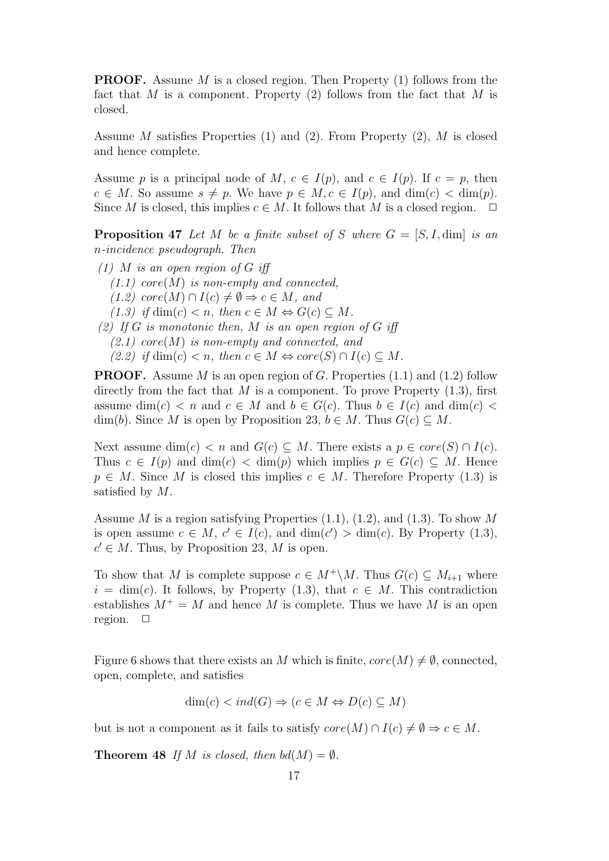**PROOF.** Assume M is a closed region. Then Property  $(1)$  follows from the fact that  $M$  is a component. Property (2) follows from the fact that  $M$  is closed.

Assume M satisfies Properties  $(1)$  and  $(2)$ . From Property  $(2)$ , M is closed and hence complete.

Assume p is a principal node of M,  $c \in I(p)$ , and  $c \in I(p)$ . If  $c = p$ , then  $c \in M$ . So assume  $s \neq p$ . We have  $p \in M, c \in I(p)$ , and  $\dim(c) < \dim(p)$ . Since M is closed, this implies  $c \in M$ . It follows that M is a closed region.  $\Box$ 

**Proposition 47** Let M be a finite subset of S where  $G = [S, I, \text{dim}]$  is an n-incidence pseudograph. Then

 $(1)$  M is an open region of G iff  $(1.1)$  core $(M)$  is non-empty and connected,  $(1.2) \text{ core}(M) \cap I(c) \neq \emptyset \Rightarrow c \in M, \text{ and}$  $(1.3)$  if dim(c)  $\lt n$ , then  $c \in M \Leftrightarrow G(c) \subseteq M$ . (2) If G is monotonic then, M is an open region of G iff  $(2.1)$  core(M) is non-empty and connected, and  $(2.2)$  if dim(c)  $\lt n$ , then  $c \in M \Leftrightarrow core(S) \cap I(c) \subseteq M$ .

**PROOF.** Assume M is an open region of G. Properties  $(1.1)$  and  $(1.2)$  follow directly from the fact that  $M$  is a component. To prove Property  $(1.3)$ , first assume dim(c)  $\lt n$  and  $c \in M$  and  $b \in G(c)$ . Thus  $b \in I(c)$  and dim(c)  $\lt$ dim(b). Since M is open by Proposition 23,  $b \in M$ . Thus  $G(c) \subseteq M$ .

Next assume dim(c)  $\lt n$  and  $G(c) \subseteq M$ . There exists a  $p \in core(S) \cap I(c)$ . Thus  $c \in I(p)$  and  $\dim(c) < \dim(p)$  which implies  $p \in G(c) \subseteq M$ . Hence  $p \in M$ . Since M is closed this implies  $c \in M$ . Therefore Property (1.3) is satisfied by M.

Assume M is a region satisfying Properties  $(1.1)$ ,  $(1.2)$ , and  $(1.3)$ . To show M is open assume  $c \in M$ ,  $c' \in I(c)$ , and  $\dim(c') > \dim(c)$ . By Property (1.3),  $c' \in M$ . Thus, by Proposition 23, M is open.

To show that M is complete suppose  $c \in M^+\backslash M$ . Thus  $G(c) \subseteq M_{i+1}$  where  $i = \dim(c)$ . It follows, by Property (1.3), that  $c \in M$ . This contradiction establishes  $M^+ = M$  and hence M is complete. Thus we have M is an open region.  $\square$ 

Figure 6 shows that there exists an M which is finite,  $core(M) \neq \emptyset$ , connected, open, complete, and satisfies

$$
\dim(c) < ind(G) \Rightarrow (c \in M \Leftrightarrow D(c) \subseteq M)
$$

but is not a component as it fails to satisfy  $core(M) \cap I(c) \neq \emptyset \Rightarrow c \in M$ .

**Theorem 48** If M is closed, then  $bd(M) = \emptyset$ .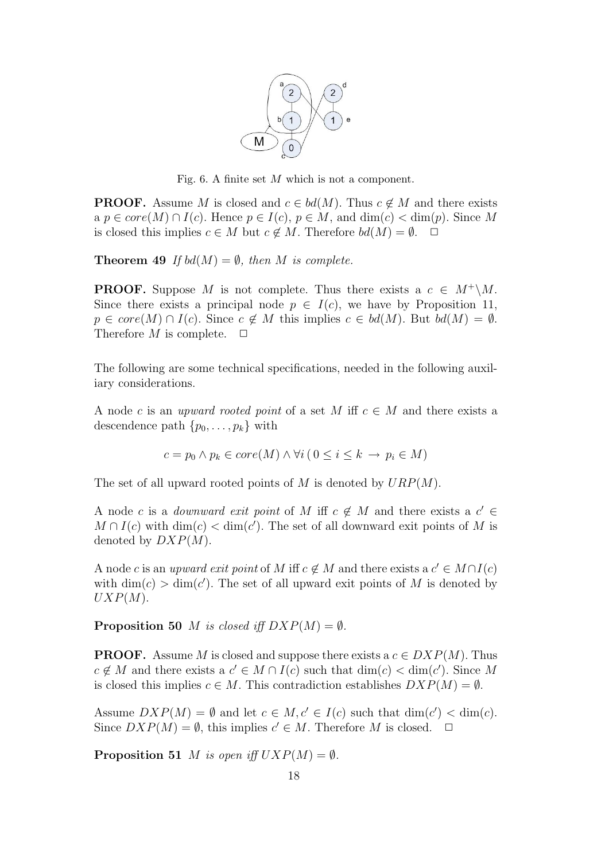

Fig. 6. A finite set M which is not a component.

**PROOF.** Assume M is closed and  $c \in bd(M)$ . Thus  $c \notin M$  and there exists a  $p \in core(M) \cap I(c)$ . Hence  $p \in I(c)$ ,  $p \in M$ , and  $\dim(c) < \dim(p)$ . Since M is closed this implies  $c \in M$  but  $c \notin M$ . Therefore  $bd(M) = \emptyset$ .  $\Box$ 

**Theorem 49** If  $bd(M) = \emptyset$ , then M is complete.

**PROOF.** Suppose M is not complete. Thus there exists a  $c \in M^+\backslash M$ . Since there exists a principal node  $p \in I(c)$ , we have by Proposition 11,  $p \in core(M) \cap I(c)$ . Since  $c \notin M$  this implies  $c \in bd(M)$ . But  $bd(M) = \emptyset$ . Therefore M is complete.  $\Box$ 

The following are some technical specifications, needed in the following auxiliary considerations.

A node c is an upward rooted point of a set M iff  $c \in M$  and there exists a descendence path  $\{p_0, \ldots, p_k\}$  with

$$
c = p_0 \land p_k \in core(M) \land \forall i (0 \leq i \leq k \rightarrow p_i \in M)
$$

The set of all upward rooted points of M is denoted by  $URP(M)$ .

A node c is a *downward exit point* of M iff  $c \notin M$  and there exists a  $c' \in$  $M \cap I(c)$  with  $\dim(c) < \dim(c')$ . The set of all downward exit points of M is denoted by  $DXP(M)$ .

A node c is an upward exit point of M iff  $c \notin M$  and there exists a  $c' \in M \cap I(c)$ with  $\dim(c) > \dim(c')$ . The set of all upward exit points of M is denoted by  $UXP(M).$ 

**Proposition 50** *M* is closed iff  $DXP(M) = \emptyset$ .

**PROOF.** Assume M is closed and suppose there exists a  $c \in DXP(M)$ . Thus  $c \notin M$  and there exists a  $c' \in M \cap I(c)$  such that  $\dim(c) < \dim(c')$ . Since M is closed this implies  $c \in M$ . This contradiction establishes  $DXP(M) = \emptyset$ .

Assume  $DXP(M) = \emptyset$  and let  $c \in M, c' \in I(c)$  such that  $\dim(c') < \dim(c)$ . Since  $DXP(M) = \emptyset$ , this implies  $c' \in M$ . Therefore M is closed.  $\Box$ 

**Proposition 51** M is open iff  $UXP(M) = \emptyset$ .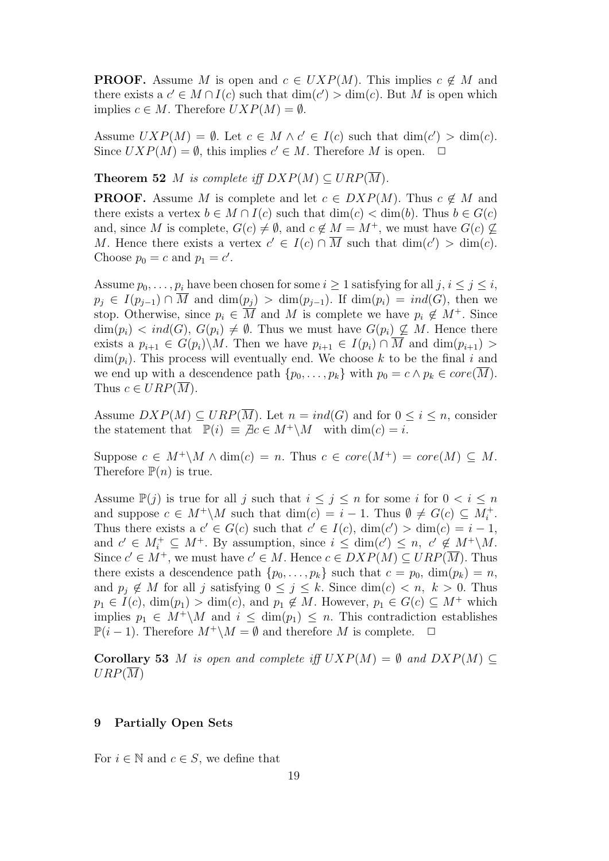**PROOF.** Assume M is open and  $c \in UXP(M)$ . This implies  $c \notin M$  and there exists a  $c' \in M \cap I(c)$  such that  $\dim(c') > \dim(c)$ . But M is open which implies  $c \in M$ . Therefore  $UXP(M) = \emptyset$ .

Assume  $UXP(M) = \emptyset$ . Let  $c \in M \wedge c' \in I(c)$  such that  $\dim(c') > \dim(c)$ . Since  $UXP(M) = \emptyset$ , this implies  $c' \in M$ . Therefore M is open.  $\Box$ 

**Theorem 52** M is complete iff  $DXP(M) \subseteq URP(\overline{M})$ .

**PROOF.** Assume M is complete and let  $c \in DXP(M)$ . Thus  $c \notin M$  and there exists a vertex  $b \in M \cap I(c)$  such that  $\dim(c) < \dim(b)$ . Thus  $b \in G(c)$ and, since M is complete,  $G(c) \neq \emptyset$ , and  $c \notin M = M^+$ , we must have  $G(c) \nsubseteq$ M. Hence there exists a vertex  $c' \in I(c) \cap \overline{M}$  such that  $\dim(c') > \dim(c)$ . Choose  $p_0 = c$  and  $p_1 = c'$ .

Assume  $p_0, \ldots, p_i$  have been chosen for some  $i \geq 1$  satisfying for all  $j, i \leq j \leq i$ ,  $p_i \in I(p_{i-1}) \cap \overline{M}$  and  $\dim(p_i) > \dim(p_{i-1})$ . If  $\dim(p_i) = ind(G)$ , then we stop. Otherwise, since  $p_i \in \overline{M}$  and M is complete we have  $p_i \notin M^+$ . Since  $\dim(p_i) < ind(G), G(p_i) \neq \emptyset$ . Thus we must have  $G(p_i) \not\subseteq M$ . Hence there exists a  $p_{i+1} \in G(p_i) \backslash M$ . Then we have  $p_{i+1} \in I(p_i) \cap \overline{M}$  and  $\dim(p_{i+1}) >$  $\dim(p_i)$ . This process will eventually end. We choose k to be the final i and we end up with a descendence path  $\{p_0, \ldots, p_k\}$  with  $p_0 = c \wedge p_k \in core(M)$ . Thus  $c \in URP(\overline{M})$ .

Assume  $DXP(M) \subseteq URP(\overline{M})$ . Let  $n = ind(G)$  and for  $0 \leq i \leq n$ , consider the statement that  $\mathbb{P}(i) \equiv \mathcal{A}c \in M^+\backslash M$  with  $\dim(c) = i$ .

Suppose  $c \in M^+\backslash M \wedge \dim(c) = n$ . Thus  $c \in core(M^+) = core(M) \subseteq M$ . Therefore  $\mathbb{P}(n)$  is true.

Assume  $\mathbb{P}(j)$  is true for all j such that  $i \leq j \leq n$  for some i for  $0 < i \leq n$ and suppose  $c \in M^+\backslash M$  such that  $\dim(c) = i - 1$ . Thus  $\emptyset \neq G(c) \subseteq M_i^+$ . Thus there exists a  $c' \in G(c)$  such that  $c' \in I(c)$ ,  $\dim(c') > \dim(c) = i - 1$ , and  $c' \in M_i^+ \subseteq M^+$ . By assumption, since  $i \leq \dim(c') \leq n$ ,  $c' \notin M^+\backslash M$ . Since  $c' \in M^+$ , we must have  $c' \in M$ . Hence  $c \in DXP(M) \subseteq URP(\overline{M})$ . Thus there exists a descendence path  $\{p_0, \ldots, p_k\}$  such that  $c = p_0$ ,  $\dim(p_k) = n$ , and  $p_i \notin M$  for all j satisfying  $0 \leq j \leq k$ . Since  $\dim(c) < n$ ,  $k > 0$ . Thus  $p_1 \in I(c)$ ,  $\dim(p_1) > \dim(c)$ , and  $p_1 \notin M$ . However,  $p_1 \in G(c) \subseteq M^+$  which implies  $p_1 \in M^+\backslash M$  and  $i \leq \dim(p_1) \leq n$ . This contradiction establishes  $\mathbb{P}(i-1)$ . Therefore  $M^+\backslash M=\emptyset$  and therefore M is complete.  $\Box$ 

Corollary 53 M is open and complete iff  $UXP(M) = \emptyset$  and  $DXP(M) \subset$  $URP(\overline{M})$ 

# 9 Partially Open Sets

For  $i \in \mathbb{N}$  and  $c \in S$ , we define that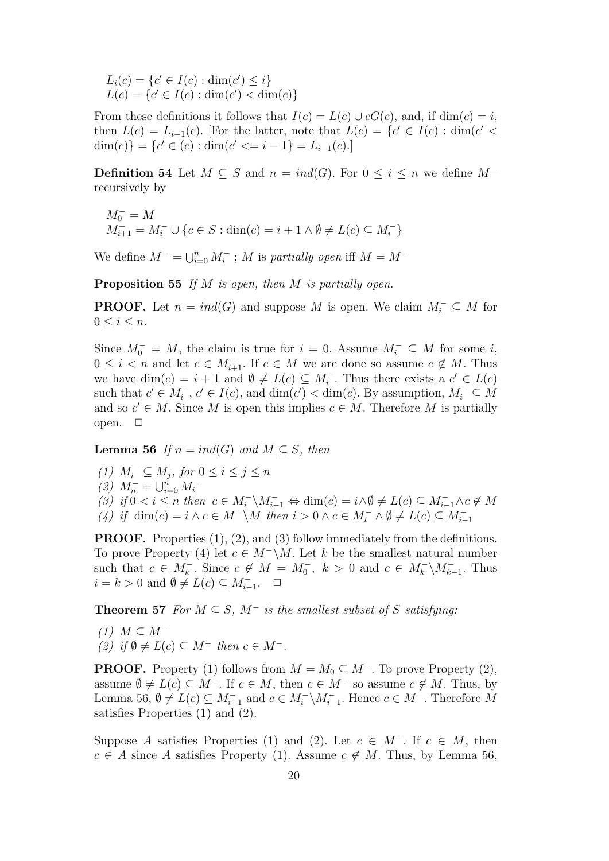$L_i(c) = \{c' \in I(c) : \dim(c') \leq i\}$  $L(c) = \{c' \in I(c) : \dim(c') < \dim(c)\}\$ 

From these definitions it follows that  $I(c) = L(c) \cup cG(c)$ , and, if  $\dim(c) = i$ , then  $L(c) = L_{i-1}(c)$ . [For the latter, note that  $L(c) = \{c' \in I(c) : \dim(c' <$ dim(c)} = { $c' \in (c)$ : dim( $c' \le i - 1$ } =  $L_{i-1}(c)$ .]

**Definition 54** Let  $M \subseteq S$  and  $n = ind(G)$ . For  $0 \leq i \leq n$  we define  $M^$ recursively by

$$
M_0^- = M
$$
  

$$
M_{i+1}^- = M_i^- \cup \{c \in S : \dim(c) = i + 1 \land \emptyset \neq L(c) \subseteq M_i^-\}
$$

We define  $M^- = \bigcup_{i=0}^n M_i^-$ ; M is partially open iff  $M = M^-$ 

**Proposition 55** If  $M$  is open, then  $M$  is partially open.

**PROOF.** Let  $n = ind(G)$  and suppose M is open. We claim  $M_i^- \subseteq M$  for  $0 \leq i \leq n$ .

Since  $M_0^- = M$ , the claim is true for  $i = 0$ . Assume  $M_i^- \subseteq M$  for some i,  $0 \leq i < n$  and let  $c \in M_{i+1}^-$ . If  $c \in M$  we are done so assume  $c \notin M$ . Thus we have  $\dim(c) = i + 1$  and  $\emptyset \neq L(c) \subseteq M_i^-$ . Thus there exists a  $c' \in L(c)$ such that  $c' \in M_i^-$ ,  $c' \in I(c)$ , and  $\dim(c') < \dim(c)$ . By assumption,  $M_i^- \subseteq M$ and so  $c' \in M$ . Since M is open this implies  $c \in M$ . Therefore M is partially open.  $\square$ 

**Lemma 56** If  $n = ind(G)$  and  $M \subseteq S$ , then

(1)  $M_i^- \subseteq M_j$ , for  $0 \le i \le j \le n$ (2)  $M_n^- = \bigcup_{i=0}^n M_i^-$ (3) if  $0 < i \leq n$  then  $c \in M_i^- \backslash M_{i-1}^- \Leftrightarrow \dim(c) = i \wedge \emptyset \neq L(c) \subseteq M_{i-1}^- \wedge c \notin M$ (4) if  $\dim(c) = i \wedge c \in M^{-} \backslash M$  then  $i > 0 \wedge c \in M_{i}^{-} \wedge \emptyset \neq L(c) \subseteq M_{i-1}^{-}$ 

**PROOF.** Properties (1), (2), and (3) follow immediately from the definitions. To prove Property (4) let  $c \in M^{-\setminus M}$ . Let k be the smallest natural number such that  $c \in M_k^-$ . Since  $c \notin M = M_0^-$ ,  $k > 0$  and  $c \in M_k^- \backslash M_{k-1}^-$ . Thus  $i = k > 0$  and  $\emptyset \neq L(c) \subseteq M_{i-1}^-$ .  $\Box$ 

**Theorem 57** For  $M \subseteq S$ ,  $M^{-}$  is the smallest subset of S satisfying:

 $(1)$   $M \subset M^-$ (2) if  $\emptyset \neq L(c) \subseteq M^-$  then  $c \in M^-$ .

**PROOF.** Property (1) follows from  $M = M_0 \subseteq M^-$ . To prove Property (2), assume  $\emptyset \neq L(c) \subseteq M^-$ . If  $c \in M$ , then  $c \in M^-$  so assume  $c \notin M$ . Thus, by Lemma 56,  $\emptyset \neq L(c) \subseteq M_{i-1}^-$  and  $c \in M_i^- \backslash M_{i-1}^-$ . Hence  $c \in M^-$ . Therefore M satisfies Properties (1) and (2).

Suppose A satisfies Properties (1) and (2). Let  $c \in M^-$ . If  $c \in M$ , then  $c \in A$  since A satisfies Property (1). Assume  $c \notin M$ . Thus, by Lemma 56,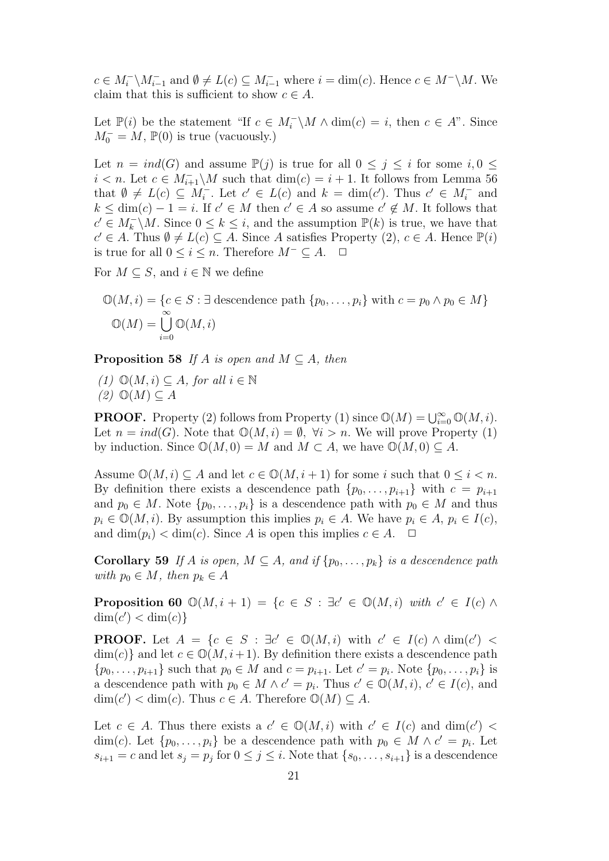$c \in M_i^-\backslash M_{i-1}^-$  and  $\emptyset \neq L(c) \subseteq M_{i-1}^-$  where  $i = \dim(c)$ . Hence  $c \in M^-\backslash M$ . We claim that this is sufficient to show  $c \in A$ .

Let  $\mathbb{P}(i)$  be the statement "If  $c \in M_i^{\perp} \backslash M \wedge \dim(c) = i$ , then  $c \in A$ ". Since  $M_0^- = M$ ,  $\mathbb{P}(0)$  is true (vacuously.)

Let  $n = ind(G)$  and assume  $\mathbb{P}(j)$  is true for all  $0 \leq j \leq i$  for some  $i, 0 \leq j \leq j$  $i < n$ . Let  $c \in M_{i+1}^- \backslash M$  such that  $\dim(c) = i + 1$ . It follows from Lemma 56 that  $\emptyset \neq L(c) \subseteq M_i^-$ . Let  $c' \in L(c)$  and  $k = \dim(c')$ . Thus  $c' \in M_i^-$  and  $k \leq \dim(c) - 1 = i$ . If  $c' \in M$  then  $c' \in A$  so assume  $c' \notin M$ . It follows that  $c' \in M_k^{\text{-}}\backslash M$ . Since  $0 \leq k \leq i$ , and the assumption  $\mathbb{P}(k)$  is true, we have that  $c' \in A$ . Thus  $\emptyset \neq L(c) \subseteq A$ . Since A satisfies Property (2),  $c \in A$ . Hence  $\mathbb{P}(i)$ is true for all  $0 \le i \le n$ . Therefore  $M^- \subseteq A$ . □

For  $M \subseteq S$ , and  $i \in \mathbb{N}$  we define

$$
\mathbb{O}(M,i) = \{c \in S : \exists \text{ descendence path } \{p_0, \dots, p_i\} \text{ with } c = p_0 \land p_0 \in M\}
$$
  

$$
\mathbb{O}(M) = \bigcup_{i=0}^{\infty} \mathbb{O}(M,i)
$$

**Proposition 58** If A is open and  $M \subseteq A$ , then

(1)  $\mathbb{O}(M, i) \subseteq A$ , for all  $i \in \mathbb{N}$  $(2)$   $\mathbb{O}(M) \subseteq A$ 

**PROOF.** Property (2) follows from Property (1) since  $\mathbb{O}(M) = \bigcup_{i=0}^{\infty} \mathbb{O}(M, i)$ . Let  $n = ind(G)$ . Note that  $\mathbb{O}(M, i) = \emptyset$ ,  $\forall i > n$ . We will prove Property (1) by induction. Since  $\mathbb{O}(M, 0) = M$  and  $M \subset A$ , we have  $\mathbb{O}(M, 0) \subseteq A$ .

Assume  $\mathbb{O}(M, i) \subseteq A$  and let  $c \in \mathbb{O}(M, i + 1)$  for some i such that  $0 \leq i < n$ . By definition there exists a descendence path  $\{p_0, \ldots, p_{i+1}\}\$  with  $c = p_{i+1}$ and  $p_0 \in M$ . Note  $\{p_0, \ldots, p_i\}$  is a descendence path with  $p_0 \in M$  and thus  $p_i \in \mathbb{O}(M, i)$ . By assumption this implies  $p_i \in A$ . We have  $p_i \in A$ ,  $p_i \in I(c)$ , and  $\dim(p_i) < \dim(c)$ . Since A is open this implies  $c \in A$ .  $\Box$ 

Corollary 59 If A is open,  $M \subseteq A$ , and if  $\{p_0, \ldots, p_k\}$  is a descendence path with  $p_0 \in M$ , then  $p_k \in A$ 

**Proposition 60**  $\mathbb{O}(M, i + 1) = \{c \in S : \exists c' \in \mathbb{O}(M, i) \text{ with } c' \in I(c) \land \emptyset$  $\dim(c') < \dim(c)$ 

**PROOF.** Let  $A = \{c \in S : \exists c' \in \mathbb{O}(M, i) \text{ with } c' \in I(c) \land \dim(c') \leq \emptyset\}$  $\dim(c)$  and let  $c \in \mathbb{O}(M, i+1)$ . By definition there exists a descendence path  $\{p_0, \ldots, p_{i+1}\}\$  such that  $p_0 \in M$  and  $c = p_{i+1}$ . Let  $c' = p_i$ . Note  $\{p_0, \ldots, p_i\}\$ is a descendence path with  $p_0 \in M \wedge c' = p_i$ . Thus  $c' \in \mathbb{O}(M, i)$ ,  $c' \in I(c)$ , and  $\dim(c') < \dim(c)$ . Thus  $c \in A$ . Therefore  $\mathbb{O}(M) \subseteq A$ .

Let  $c \in A$ . Thus there exists a  $c' \in \mathbb{O}(M, i)$  with  $c' \in I(c)$  and  $\dim(c')$ dim(c). Let  $\{p_0, \ldots, p_i\}$  be a descendence path with  $p_0 \in M \wedge c' = p_i$ . Let  $s_{i+1} = c$  and let  $s_j = p_j$  for  $0 \leq j \leq i$ . Note that  $\{s_0, \ldots, s_{i+1}\}$  is a descendence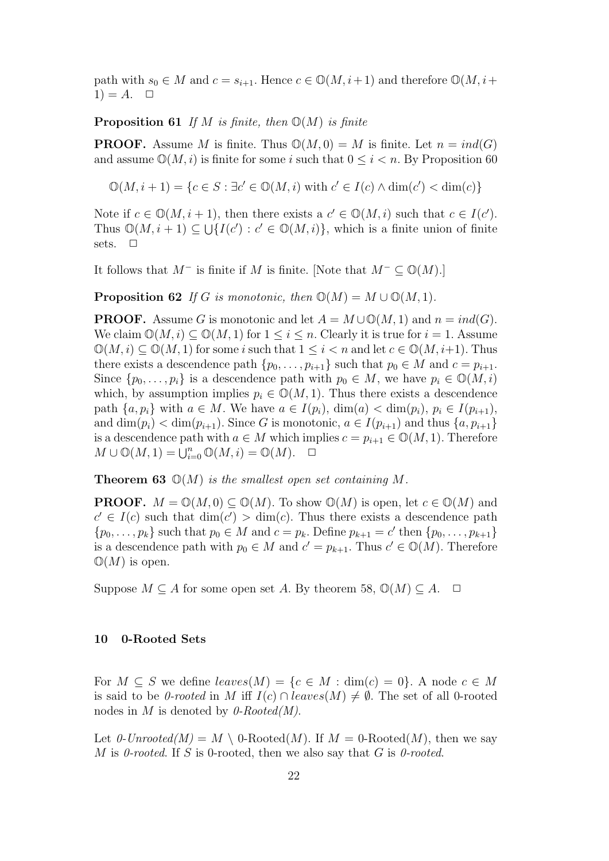path with  $s_0 \in M$  and  $c = s_{i+1}$ . Hence  $c \in \mathbb{O}(M, i+1)$  and therefore  $\mathbb{O}(M, i+1)$  $1) = A$ .  $\Box$ 

**Proposition 61** If M is finite, then  $\mathbb{O}(M)$  is finite

**PROOF.** Assume M is finite. Thus  $\mathbb{O}(M, 0) = M$  is finite. Let  $n = ind(G)$ and assume  $\mathbb{O}(M, i)$  is finite for some i such that  $0 \leq i \leq n$ . By Proposition 60

 $\mathbb{O}(M, i+1) = \{c \in S : \exists c' \in \mathbb{O}(M, i) \text{ with } c' \in I(c) \wedge \dim(c') < \dim(c)\}\$ 

Note if  $c \in \mathbb{O}(M, i + 1)$ , then there exists a  $c' \in \mathbb{O}(M, i)$  such that  $c \in I(c')$ . Thus  $\mathbb{O}(M, i+1) \subseteq \bigcup \{I(c') : c' \in \mathbb{O}(M, i)\},\$  which is a finite union of finite sets.  $\Box$ 

It follows that  $M^-$  is finite if M is finite. [Note that  $M^- \subseteq \mathbb{O}(M)$ .]

**Proposition 62** If G is monotonic, then  $\mathbb{O}(M) = M \cup \mathbb{O}(M, 1)$ .

**PROOF.** Assume G is monotonic and let  $A = M \cup \mathbb{O}(M, 1)$  and  $n = ind(G)$ . We claim  $\mathbb{O}(M, i) \subset \mathbb{O}(M, 1)$  for  $1 \leq i \leq n$ . Clearly it is true for  $i = 1$ . Assume  $\mathbb{O}(M, i) \subseteq \mathbb{O}(M, 1)$  for some i such that  $1 \leq i < n$  and let  $c \in \mathbb{O}(M, i+1)$ . Thus there exists a descendence path  $\{p_0, \ldots, p_{i+1}\}\$  such that  $p_0 \in M$  and  $c = p_{i+1}$ . Since  $\{p_0, \ldots, p_i\}$  is a descendence path with  $p_0 \in M$ , we have  $p_i \in \mathbb{O}(M, i)$ which, by assumption implies  $p_i \in \mathbb{O}(M, 1)$ . Thus there exists a descendence path  $\{a, p_i\}$  with  $a \in M$ . We have  $a \in I(p_i)$ ,  $\dim(a) < \dim(p_i)$ ,  $p_i \in I(p_{i+1})$ , and  $\dim(p_i) < \dim(p_{i+1})$ . Since G is monotonic,  $a \in I(p_{i+1})$  and thus  $\{a, p_{i+1}\}\$ is a descendence path with  $a \in M$  which implies  $c = p_{i+1} \in \mathbb{O}(M, 1)$ . Therefore  $M \cup \mathbb{O}(M, 1) = \bigcup_{i=0}^{n} \mathbb{O}(M, i) = \mathbb{O}(M). \quad \Box$ 

**Theorem 63**  $\mathbb{O}(M)$  is the smallest open set containing M.

**PROOF.**  $M = \mathbb{O}(M, 0) \subseteq \mathbb{O}(M)$ . To show  $\mathbb{O}(M)$  is open, let  $c \in \mathbb{O}(M)$  and  $c' \in I(c)$  such that  $\dim(c') > \dim(c)$ . Thus there exists a descendence path  $\{p_0, \ldots, p_k\}$  such that  $p_0 \in M$  and  $c = p_k$ . Define  $p_{k+1} = c'$  then  $\{p_0, \ldots, p_{k+1}\}\$ is a descendence path with  $p_0 \in M$  and  $c' = p_{k+1}$ . Thus  $c' \in \mathbb{O}(M)$ . Therefore  $\mathbb{O}(M)$  is open.

Suppose  $M \subseteq A$  for some open set A. By theorem 58,  $\mathbb{O}(M) \subseteq A$ .  $\Box$ 

#### 10 0-Rooted Sets

For  $M \subseteq S$  we define  $leaves(M) = \{c \in M : \dim(c) = 0\}$ . A node  $c \in M$ is said to be 0-rooted in M iff  $I(c) \cap leaves(M) \neq \emptyset$ . The set of all 0-rooted nodes in M is denoted by  $0$ -Rooted(M).

Let  $0$ -Unrooted(M) = M \ 0-Rooted(M). If  $M = 0$ -Rooted(M), then we say M is 0-rooted. If S is 0-rooted, then we also say that G is 0-rooted.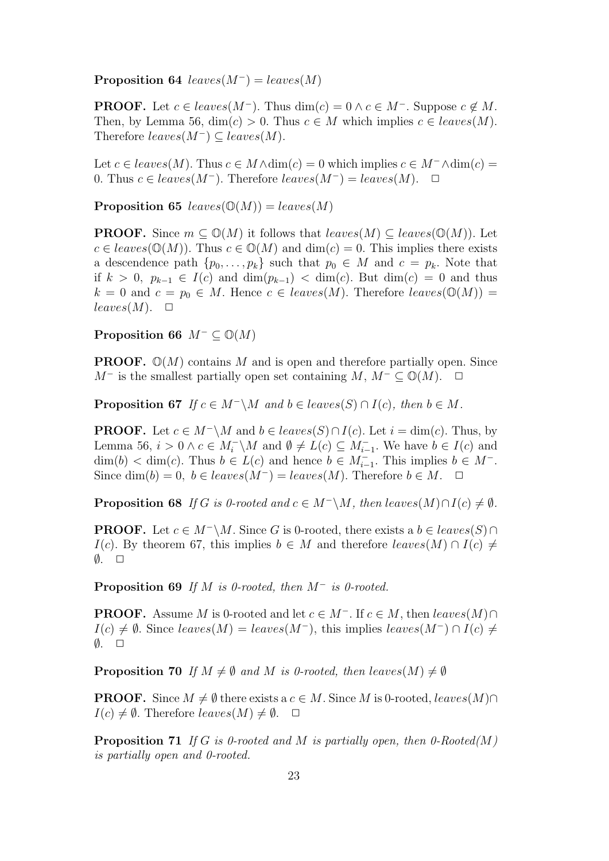**Proposition 64** leaves( $M^-$ ) = leaves( $M$ )

**PROOF.** Let  $c \in leaves(M^-)$ . Thus  $dim(c) = 0 \land c \in M^-$ . Suppose  $c \notin M$ . Then, by Lemma 56,  $\dim(c) > 0$ . Thus  $c \in M$  which implies  $c \in leaves(M)$ . Therefore  $leaves(M^-) \subseteq leaves(M)$ .

Let  $c \in leaves(M)$ . Thus  $c \in M \wedge \dim(c) = 0$  which implies  $c \in M^{-} \wedge \dim(c) =$ 0. Thus  $c \in leaves(M^-)$ . Therefore  $leaves(M^-) = leaves(M)$ .  $\Box$ 

**Proposition 65** leaves( $\mathbb{O}(M)$ ) = leaves(M)

**PROOF.** Since  $m \subset \mathbb{O}(M)$  it follows that  $leaves(M) \subset leaves(\mathbb{O}(M))$ . Let  $c \in leaves(\mathbb{O}(M))$ . Thus  $c \in \mathbb{O}(M)$  and  $\dim(c) = 0$ . This implies there exists a descendence path  $\{p_0, \ldots, p_k\}$  such that  $p_0 \in M$  and  $c = p_k$ . Note that if  $k > 0$ ,  $p_{k-1} \in I(c)$  and  $\dim(p_{k-1}) < \dim(c)$ . But  $\dim(c) = 0$  and thus  $k = 0$  and  $c = p_0 \in M$ . Hence  $c \in leaves(M)$ . Therefore  $leaves(\mathbb{O}(M)) =$  $leaves(M). \quad \Box$ 

Proposition 66  $M^- \subset \mathbb{O}(M)$ 

**PROOF.**  $\mathbb{O}(M)$  contains M and is open and therefore partially open. Since  $M^-$  is the smallest partially open set containing  $M, M^- \subset \mathbb{O}(M)$ .  $\Box$ 

**Proposition 67** If  $c \in M^{-\setminus}M$  and  $b \in leaves(S) \cap I(c)$ , then  $b \in M$ .

**PROOF.** Let  $c \in M^{-\setminus}M$  and  $b \in leaves(S) \cap I(c)$ . Let  $i = \dim(c)$ . Thus, by Lemma 56,  $i > 0 \land c \in M_i^-\backslash M$  and  $\emptyset \neq L(c) \subseteq M_{i-1}^-$ . We have  $b \in I(c)$  and  $\dim(b) < \dim(c)$ . Thus  $b \in L(c)$  and hence  $b \in M_{i-1}^-$ . This implies  $b \in M^-$ . Since  $\dim(b) = 0, b \in leaves(M^-) = leaves(M)$ . Therefore  $b \in M$ .  $\Box$ 

**Proposition 68** If G is 0-rooted and  $c \in M^{-\setminus M}$ , then leaves(M)∩I(c)  $\neq \emptyset$ .

**PROOF.** Let  $c \in M^{-\setminus}M$ . Since G is 0-rooted, there exists a  $b \in leaves(S) \cap$  $I(c)$ . By theorem 67, this implies  $b \in M$  and therefore leaves(M) ∩  $I(c) \neq$  $\emptyset$ .  $\Box$ 

**Proposition 69** If M is 0-rooted, then  $M^-$  is 0-rooted.

**PROOF.** Assume M is 0-rooted and let  $c \in M^-$ . If  $c \in M$ , then leaves(M)∩  $I(c) \neq \emptyset$ . Since leaves(M) = leaves(M<sup>-</sup>), this implies leaves(M<sup>-</sup>) ∩ I(c)  $\neq$  $\emptyset$ .  $\Box$ 

**Proposition 70** If  $M \neq \emptyset$  and M is 0-rooted, then leaves(M)  $\neq \emptyset$ 

**PROOF.** Since  $M \neq \emptyset$  there exists a  $c \in M$ . Since M is 0-rooted, leaves(M)∩  $I(c) \neq \emptyset$ . Therefore leaves $(M) \neq \emptyset$ .  $\Box$ 

**Proposition 71** If G is 0-rooted and M is partially open, then 0-Rooted(M) is partially open and 0-rooted.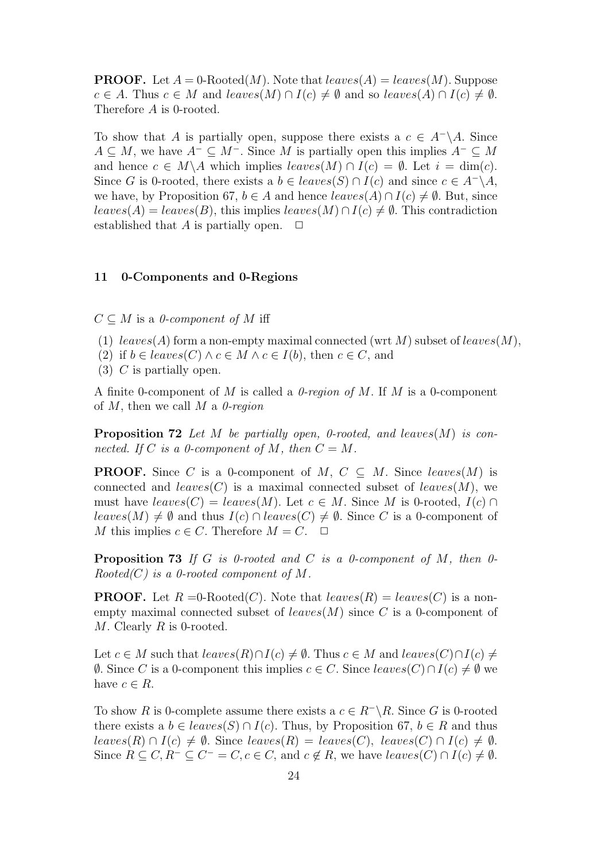**PROOF.** Let  $A = 0$ -Rooted(M). Note that  $leaves(A) = leaves(M)$ . Suppose  $c \in A$ . Thus  $c \in M$  and leaves $(M) \cap I(c) \neq \emptyset$  and so leaves $(A) \cap I(c) \neq \emptyset$ . Therefore A is 0-rooted.

To show that A is partially open, suppose there exists a  $c \in A^- \backslash A$ . Since  $A \subseteq M$ , we have  $A^{-} \subseteq M^{-}$ . Since M is partially open this implies  $A^{-} \subseteq M$ and hence  $c \in M \backslash A$  which implies  $leaves(M) \cap I(c) = \emptyset$ . Let  $i = \dim(c)$ . Since G is 0-rooted, there exists a  $b \in leaves(S) \cap I(c)$  and since  $c \in A^{-} \backslash A$ , we have, by Proposition 67,  $b \in A$  and hence  $leaves(A) \cap I(c) \neq \emptyset$ . But, since  $leaves(A) = leaves(B)$ , this implies  $leaves(M) \cap I(c) \neq \emptyset$ . This contradiction established that A is partially open.  $\Box$ 

#### 11 0-Components and 0-Regions

 $C \subseteq M$  is a 0-component of M iff

- (1) leaves(A) form a non-empty maximal connected (wrt M) subset of leaves(M),
- (2) if  $b \in leaves(C) \land c \in M \land c \in I(b)$ , then  $c \in C$ , and
- $(3)$  C is partially open.

A finite 0-component of M is called a  $\theta$ -region of M. If M is a 0-component of  $M$ , then we call  $M$  a  $0$ -region

**Proposition 72** Let M be partially open, 0-rooted, and leaves(M) is connected. If C is a 0-component of M, then  $C = M$ .

**PROOF.** Since C is a 0-component of M,  $C \subseteq M$ . Since leaves(M) is connected and  $leaves(C)$  is a maximal connected subset of  $leaves(M)$ , we must have  $leaves(C) = leaves(M)$ . Let  $c \in M$ . Since M is 0-rooted,  $I(c) \cap$ leaves(M)  $\neq$  Ø and thus  $I(c) \cap leaves(C) \neq \emptyset$ . Since C is a 0-component of M this implies  $c \in C$ . Therefore  $M = C$ .  $\Box$ 

**Proposition 73** If G is 0-rooted and C is a 0-component of M, then 0- $Rooted(C)$  is a 0-rooted component of M.

**PROOF.** Let  $R = 0$ -Rooted(C). Note that  $leaves(R) = leaves(C)$  is a nonempty maximal connected subset of  $leaves(M)$  since C is a 0-component of  $M$ . Clearly  $R$  is 0-rooted.

Let  $c \in M$  such that  $leaves(R) \cap I(c) \neq \emptyset$ . Thus  $c \in M$  and  $leaves(C) \cap I(c) \neq \emptyset$ .  $\emptyset$ . Since C is a 0-component this implies  $c \in C$ . Since leaves(C)∩ I(c)  $\neq \emptyset$  we have  $c \in R$ .

To show R is 0-complete assume there exists a  $c \in R^{-} \backslash R$ . Since G is 0-rooted there exists a  $b \in leaves(S) \cap I(c)$ . Thus, by Proposition 67,  $b \in R$  and thus leaves(R) ∩ I(c)  $\neq \emptyset$ . Since leaves(R) = leaves(C), leaves(C) ∩ I(c)  $\neq \emptyset$ . Since  $R \subseteq C, R^- \subseteq C^- = C, c \in C$ , and  $c \notin R$ , we have  $leaves(C) \cap I(c) \neq \emptyset$ .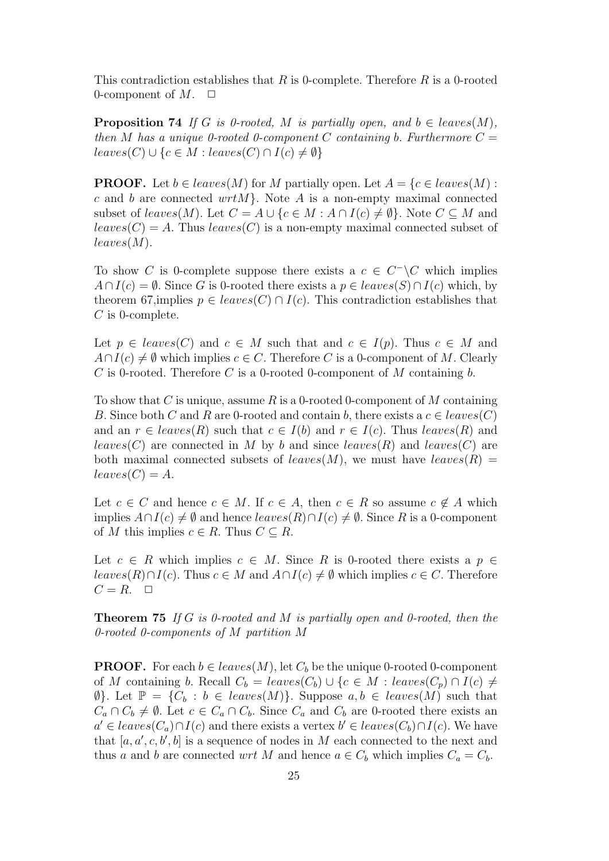This contradiction establishes that R is 0-complete. Therefore R is a 0-rooted 0-component of  $M$ .  $\Box$ 

**Proposition 74** If G is 0-rooted, M is partially open, and  $b \in leaves(M)$ , then M has a unique 0-rooted 0-component C containing b. Furthermore  $C =$  $leaves(C) \cup \{c \in M : leaves(C) \cap I(c) \neq \emptyset\}$ 

**PROOF.** Let  $b \in leaves(M)$  for M partially open. Let  $A = \{c \in leaves(M):$ c and b are connected  $wrtM$ . Note A is a non-empty maximal connected subset of leaves(M). Let  $C = A \cup \{c \in M : A \cap I(c) \neq \emptyset\}$ . Note  $C \subseteq M$  and  $leaves(C) = A$ . Thus  $leaves(C)$  is a non-empty maximal connected subset of  $leaves(M).$ 

To show C is 0-complete suppose there exists a  $c \in C^{\perp} \backslash C$  which implies  $A \cap I(c) = \emptyset$ . Since G is 0-rooted there exists a  $p \in leaves(S) \cap I(c)$  which, by theorem 67,implies  $p \in leaves(C) \cap I(c)$ . This contradiction establishes that  $C$  is 0-complete.

Let  $p \in leaves(C)$  and  $c \in M$  such that and  $c \in I(p)$ . Thus  $c \in M$  and  $A \cap I(c) \neq \emptyset$  which implies  $c \in C$ . Therefore C is a 0-component of M. Clearly C is 0-rooted. Therefore C is a 0-rooted 0-component of M containing b.

To show that C is unique, assume R is a 0-rooted 0-component of M containing B. Since both C and R are 0-rooted and contain b, there exists a  $c \in leaves(C)$ and an  $r \in leaves(R)$  such that  $c \in I(b)$  and  $r \in I(c)$ . Thus  $leaves(R)$  and leaves(C) are connected in M by b and since leaves(R) and leaves(C) are both maximal connected subsets of leaves(M), we must have leaves(R) =  $leaves(C) = A.$ 

Let  $c \in C$  and hence  $c \in M$ . If  $c \in A$ , then  $c \in R$  so assume  $c \notin A$  which implies  $A \cap I(c) \neq \emptyset$  and hence  $leaves(R) \cap I(c) \neq \emptyset$ . Since R is a 0-component of M this implies  $c \in R$ . Thus  $C \subseteq R$ .

Let  $c \in R$  which implies  $c \in M$ . Since R is 0-rooted there exists a  $p \in$ leaves(R)∩I(c). Thus  $c \in M$  and  $A \cap I(c) \neq \emptyset$  which implies  $c \in C$ . Therefore  $C = R$ .  $\Box$ 

**Theorem 75** If G is 0-rooted and M is partially open and 0-rooted, then the 0-rooted 0-components of M partition M

**PROOF.** For each  $b \in leaves(M)$ , let  $C_b$  be the unique 0-rooted 0-component of M containing b. Recall  $C_b = leaves(C_b) \cup \{c \in M : leaves(C_p) \cap I(c) \neq \emptyset\}$  $\emptyset$ . Let  $\mathbb{P} = \{C_b : b \in leaves(M)\}.$  Suppose  $a, b \in leaves(M)$  such that  $C_a \cap C_b \neq \emptyset$ . Let  $c \in C_a \cap C_b$ . Since  $C_a$  and  $C_b$  are 0-rooted there exists an  $a' \in leaves(C_a) \cap I(c)$  and there exists a vertex  $b' \in leaves(C_b) \cap I(c)$ . We have that  $[a, a', c, b', b]$  is a sequence of nodes in M each connected to the next and thus a and b are connected wrt M and hence  $a \in C_b$  which implies  $C_a = C_b$ .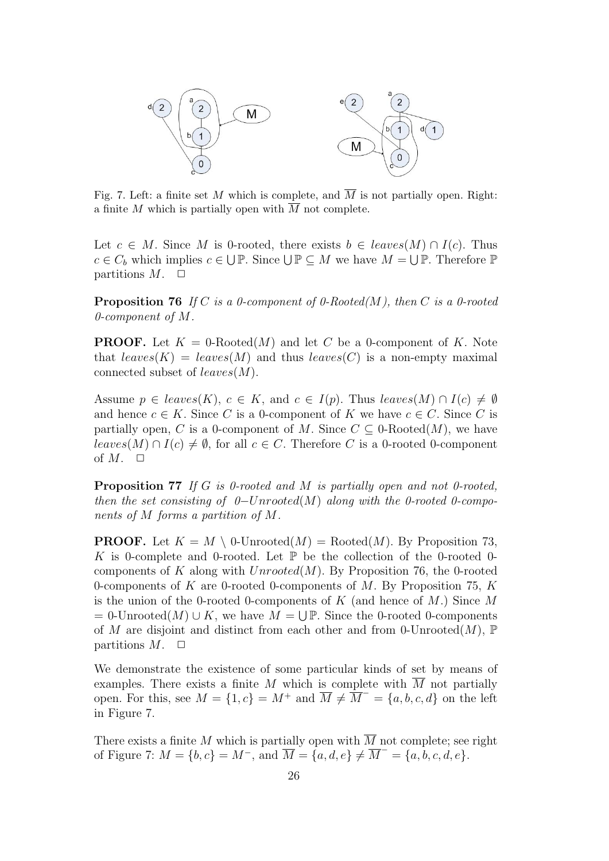

Fig. 7. Left: a finite set M which is complete, and  $\overline{M}$  is not partially open. Right: a finite M which is partially open with  $\overline{M}$  not complete.

Let  $c \in M$ . Since M is 0-rooted, there exists  $b \in leaves(M) \cap I(c)$ . Thus  $c \in C_b$  which implies  $c \in \bigcup \mathbb{P}$ . Since  $\bigcup \mathbb{P} \subseteq M$  we have  $M = \bigcup \mathbb{P}$ . Therefore  $\mathbb{P}$ partitions  $M$ .  $\Box$ 

**Proposition 76** If C is a 0-component of 0-Rooted(M), then C is a 0-rooted  $0$ -component of M.

**PROOF.** Let  $K = 0$ -Rooted(M) and let C be a 0-component of K. Note that  $leaves(K) = leaves(M)$  and thus  $leaves(C)$  is a non-empty maximal connected subset of  $leaves(M)$ .

Assume  $p \in leaves(K)$ ,  $c \in K$ , and  $c \in I(p)$ . Thus  $leaves(M) \cap I(c) \neq \emptyset$ and hence  $c \in K$ . Since C is a 0-component of K we have  $c \in C$ . Since C is partially open, C is a 0-component of M. Since  $C \subseteq 0$ -Rooted $(M)$ , we have leaves(M) ∩ I(c)  $\neq \emptyset$ , for all  $c \in C$ . Therefore C is a 0-rooted 0-component of  $M$ .  $\Box$ 

Proposition 77 If G is 0-rooted and M is partially open and not 0-rooted, then the set consisting of  $0$ -Unrooted(M) along with the 0-rooted 0-components of M forms a partition of M.

**PROOF.** Let  $K = M \setminus 0$ -Unrooted $(M)$  = Rooted $(M)$ . By Proposition 73, K is 0-complete and 0-rooted. Let  $\mathbb P$  be the collection of the 0-rooted 0components of K along with  $Unrooted(M)$ . By Proposition 76, the 0-rooted 0-components of  $K$  are 0-rooted 0-components of  $M$ . By Proposition 75,  $K$ is the union of the 0-rooted 0-components of  $K$  (and hence of  $M$ .) Since  $M$  $= 0$ -Unrooted $(M) \cup K$ , we have  $M = \bigcup \mathbb{P}$ . Since the 0-rooted 0-components of M are disjoint and distinct from each other and from 0-Unrooted $(M)$ ,  $\mathbb P$ partitions  $M$ .  $\Box$ 

We demonstrate the existence of some particular kinds of set by means of examples. There exists a finite M which is complete with  $\overline{M}$  not partially open. For this, see  $M = \{1, c\} = M^+$  and  $\overline{M} \neq \overline{M}^- = \{a, b, c, d\}$  on the left in Figure 7.

There exists a finite M which is partially open with  $\overline{M}$  not complete; see right of Figure 7:  $M = \{b, c\} = M^{-}$ , and  $\overline{M} = \{a, d, e\} \neq \overline{M}^{-} = \{a, b, c, d, e\}.$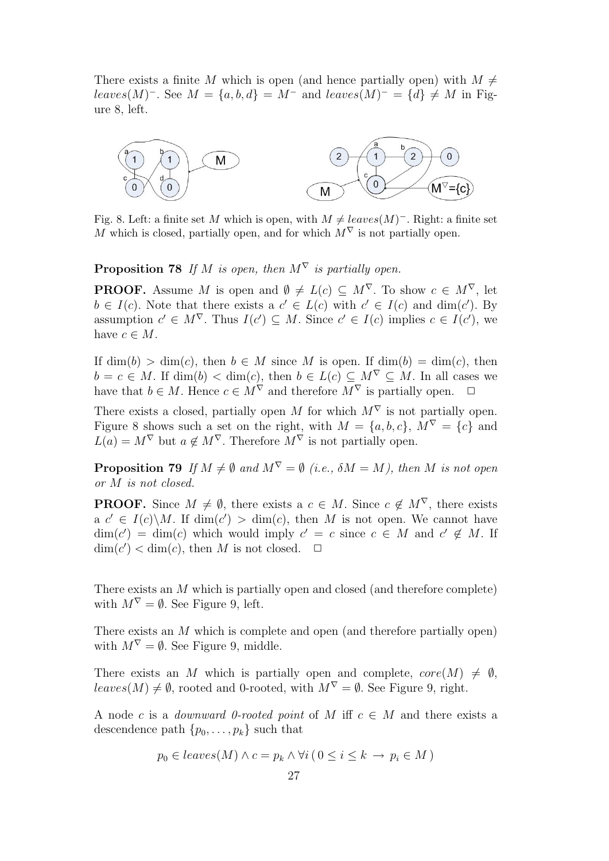There exists a finite M which is open (and hence partially open) with  $M \neq$ leaves(M)<sup>-</sup>. See  $M = \{a, b, d\} = M^{-}$  and leaves(M)<sup>-</sup> =  $\{d\} \neq M$  in Figure 8, left.



Fig. 8. Left: a finite set M which is open, with  $M \neq leaves(M)^-$ . Right: a finite set M which is closed, partially open, and for which  $M^{\nabla}$  is not partially open.

**Proposition 78** If M is open, then  $M^{\nabla}$  is partially open.

**PROOF.** Assume M is open and  $\emptyset \neq L(c) \subseteq M^{\nabla}$ . To show  $c \in M^{\nabla}$ , let  $b \in I(c)$ . Note that there exists a  $c' \in L(c)$  with  $c' \in I(c)$  and  $\dim(c')$ . By assumption  $c' \in M^{\nabla}$ . Thus  $I(c') \subseteq M$ . Since  $c' \in I(c)$  implies  $c \in I(c')$ , we have  $c \in M$ .

If  $\dim(b) > \dim(c)$ , then  $b \in M$  since M is open. If  $\dim(b) = \dim(c)$ , then  $b = c \in M$ . If  $\dim(b) < \dim(c)$ , then  $b \in L(c) \subseteq M^{\nabla} \subseteq M$ . In all cases we have that  $b \in M$ . Hence  $c \in M^{\nabla}$  and therefore  $M^{\nabla}$  is partially open.  $\Box$ 

There exists a closed, partially open M for which  $M^{\nabla}$  is not partially open. Figure 8 shows such a set on the right, with  $M = \{a, b, c\}, M^{\nabla} = \{c\}$  and  $L(a) = M^{\nabla}$  but  $a \notin M^{\nabla}$ . Therefore  $M^{\nabla}$  is not partially open.

**Proposition 79** If  $M \neq \emptyset$  and  $M^{\nabla} = \emptyset$  (i.e.,  $\delta M = M$ ), then M is not open or M is not closed.

**PROOF.** Since  $M \neq \emptyset$ , there exists a  $c \in M$ . Since  $c \notin M^{\nabla}$ , there exists a  $c' \in I(c) \backslash M$ . If  $\dim(c') > \dim(c)$ , then M is not open. We cannot have  $\dim(c') = \dim(c)$  which would imply  $c' = c$  since  $c \in M$  and  $c' \notin M$ . If  $\dim(c') < \dim(c)$ , then M is not closed.  $\Box$ 

There exists an M which is partially open and closed (and therefore complete) with  $M^{\nabla} = \emptyset$ . See Figure 9, left.

There exists an M which is complete and open (and therefore partially open) with  $M^{\nabla} = \emptyset$ . See Figure 9, middle.

There exists an M which is partially open and complete,  $core(M) \neq \emptyset$ ,  $leaves(M) \neq \emptyset$ , rooted and 0-rooted, with  $M^{\nabla} = \emptyset$ . See Figure 9, right.

A node c is a *downward 0-rooted point* of M iff  $c \in M$  and there exists a descendence path  $\{p_0, \ldots, p_k\}$  such that

$$
p_0 \in leaves(M) \land c = p_k \land \forall i (0 \leq i \leq k \rightarrow p_i \in M)
$$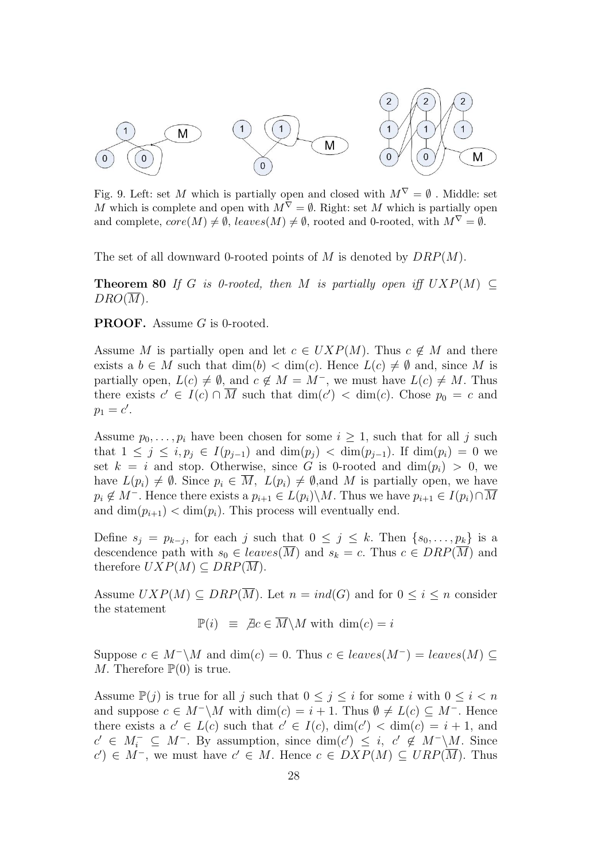

Fig. 9. Left: set  $M$  which is partially open and closed with  $M^{\nabla} = \emptyset$  . Middle: set M which is complete and open with  $M^{\nabla} = \emptyset$ . Right: set M which is partially open and complete,  $core(M) \neq \emptyset$ ,  $leaves(M) \neq \emptyset$ , rooted and 0-rooted, with  $M^{\nabla} = \emptyset$ .

The set of all downward 0-rooted points of M is denoted by  $DRP(M)$ .

**Theorem 80** If G is 0-rooted, then M is partially open iff  $UXP(M) \subseteq$  $DRO(M)$ .

PROOF. Assume G is 0-rooted.

Assume M is partially open and let  $c \in UXP(M)$ . Thus  $c \notin M$  and there exists a  $b \in M$  such that  $\dim(b) < \dim(c)$ . Hence  $L(c) \neq \emptyset$  and, since M is partially open,  $L(c) \neq \emptyset$ , and  $c \notin M = M^-$ , we must have  $L(c) \neq M$ . Thus there exists  $c' \in I(c) \cap \overline{M}$  such that  $\dim(c') < \dim(c)$ . Chose  $p_0 = c$  and  $p_1 = c'$ .

Assume  $p_0, \ldots, p_i$  have been chosen for some  $i \geq 1$ , such that for all j such that  $1 \leq j \leq i, p_j \in I(p_{j-1})$  and  $\dim(p_j) < \dim(p_{j-1})$ . If  $\dim(p_i) = 0$  we set  $k = i$  and stop. Otherwise, since G is 0-rooted and  $\dim(p_i) > 0$ , we have  $L(p_i) \neq \emptyset$ . Since  $p_i \in \overline{M}$ ,  $L(p_i) \neq \emptyset$ , and M is partially open, we have  $p_i \notin M^-$ . Hence there exists a  $p_{i+1} \in L(p_i) \backslash M$ . Thus we have  $p_{i+1} \in I(p_i) \cap \overline{M}$ and  $\dim(p_{i+1}) < \dim(p_i)$ . This process will eventually end.

Define  $s_j = p_{k-j}$ , for each j such that  $0 \leq j \leq k$ . Then  $\{s_0, \ldots, s_k\}$  is a descendence path with  $s_0 \in leaves(\overline{M})$  and  $s_k = c$ . Thus  $c \in DRP(\overline{M})$  and therefore  $UXP(M)\subseteq DRP(\overline{M}).$ 

Assume  $UXP(M) \subseteq DRP(\overline{M})$ . Let  $n = ind(G)$  and for  $0 \leq i \leq n$  consider the statement

 $\mathbb{P}(i) \equiv \nexists c \in \overline{M} \backslash M \text{ with } \dim(c) = i$ 

Suppose  $c \in M^{-\setminus M}$  and  $\dim(c) = 0$ . Thus  $c \in leaves(M^{-}) = leaves(M) \subseteq$ M. Therefore  $\mathbb{P}(0)$  is true.

Assume  $\mathbb{P}(j)$  is true for all j such that  $0 \leq j \leq i$  for some i with  $0 \leq i < n$ and suppose  $c \in M^{-} \backslash M$  with  $\dim(c) = i + 1$ . Thus  $\emptyset \neq L(c) \subseteq M^{-}$ . Hence there exists a  $c' \in L(c)$  such that  $c' \in I(c)$ ,  $\dim(c') < \dim(c) = i + 1$ , and  $c' \in M^-_i \subseteq M^-$ . By assumption, since  $\dim(c') \leq i$ ,  $c' \notin M^- \backslash M$ . Since  $c'$ ) ∈  $M^-$ , we must have  $c' \in M$ . Hence  $c \in DXP(M) \subseteq URP(\overline{M})$ . Thus